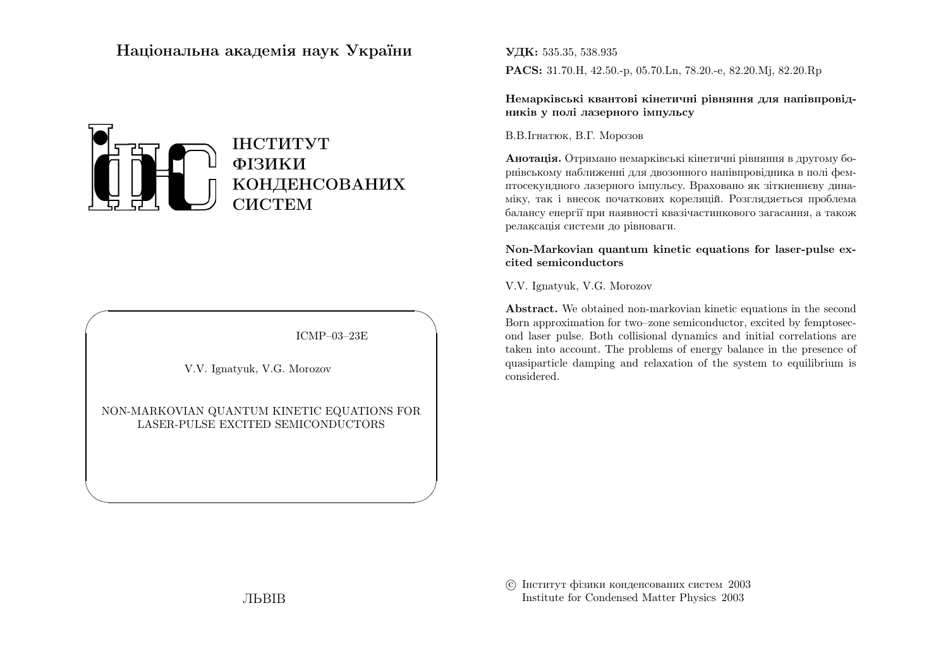# Національна академія наук України



 $ICMP-03-23E$ 

V.V. Ignatyuk, V.G. Morozov

NON-MARKOVIAN QUANTUM KINETIC EQUATIONS FOR LASER-PULSE EXCITED SEMICONDUCTORS

УДК: 535.35, 538.935 PACS: 31.70.H, 42.50.-p, 05.70.Ln, 78.20.-e, 82.20.Mj, 82.20.Rp

Немарківські квантові кінетичні рівняння для напівпровідників у полі лазерного імпульсу

В.В.Ігнатюк, В.Г. Морозов

Анотація. Отримано немарківські кінетичні рівняння в другому борнівському наближенні для двозонного напівпровідника в полі фемптосекундного лазерного імпульсу. Враховано як зіткненнєву динаміку, так і внесок початкових кореляцій. Розглядяється проблема балансу енергії при наявності квазічастинкового загасання, а також релаксація системи до рівноваги.

### Non-Markovian quantum kinetic equations for laser-pulse excited semiconductors

V.V. Ignatyuk, V.G. Morozov

**Abstract.** We obtained non-markovian kinetic equations in the second Born approximation for two-zone semiconductor, excited by femptosecond laser pulse. Both collisional dynamics and initial correlations are taken into account. The problems of energy balance in the presence of quasiparticle damping and relaxation of the system to equilibrium is considered.

(c) Iнститут фізики конденсованих систем 2003 Institute for Condensed Matter Physics 2003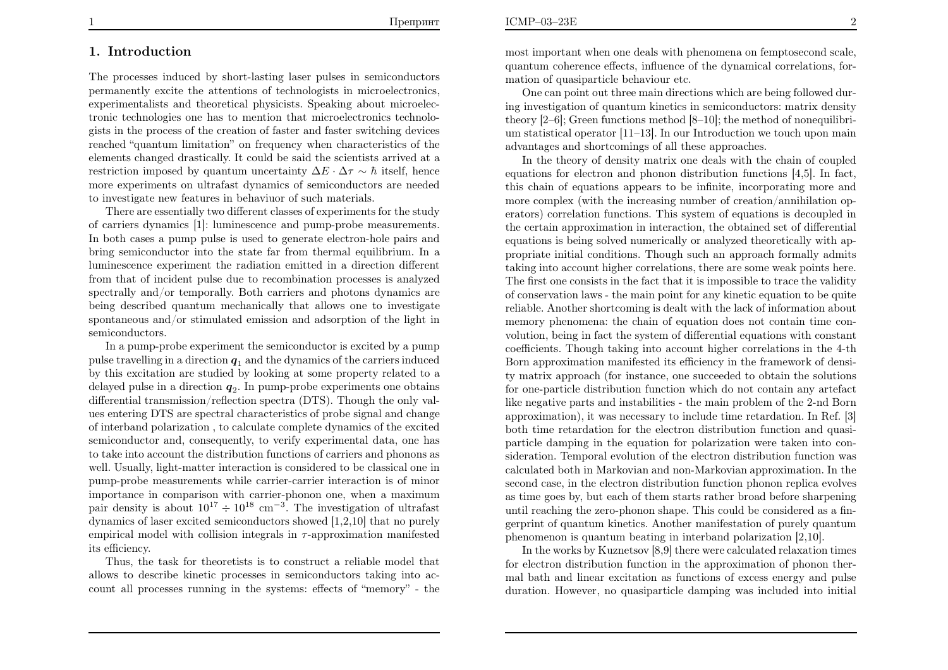### 1. Introduction

The processes induced by short-lasting laser pulses in semiconductors permanently excite the attentions of technologists in microelectronics,experimentalists and theoretical <sup>p</sup>hysicists. Speaking about microelectronic technologies one has to mention that microelectronics technologists in the process of the creation of faster and faster switching devices reached "quantum limitation" on frequency when characteristics of the elements changed drastically. It could be said the scientists arrived at <sup>a</sup>restriction imposed by quantum uncertainty  $\Delta E \cdot \Delta \tau \sim \hbar$  itself, hence more experiments on ultrafast dynamics of semiconductors are neededto investigate new features in behaviuor of such materials.

 There are essentially two different classes of experiments for the study of carriers dynamics [1]: luminescence and pump-probe measurements. In both cases <sup>a</sup> pump pulse is used to generate electron-hole pairs and bring semiconductor into the state far from thermal equilibrium. In <sup>a</sup> luminescence experiment the radiation emitted in <sup>a</sup> direction different from that of incident pulse due to recombination processes is analyzed spectrally and/or temporally. Both carriers and <sup>p</sup>hotons dynamics are being described quantum mechanically that allows one to investigate spontaneous and/or stimulated emission and adsorption of the light insemiconductors.

In <sup>a</sup> pump-probe experiment the semiconductor is excited by <sup>a</sup> pumppulse travelling in a direction  $q_1$  and the dynamics of the carriers induced by this excitation are studied by looking at some property related to <sup>a</sup>delayed pulse in a direction  $q_2$ . In pump-probe experiments one obtains differential transmission/reflection spectra (DTS). Though the only values entering DTS are spectral characteristics of probe signal and change of interband polarization , to calculate complete dynamics of the excited semiconductor and, consequently, to verify experimental data, one has to take into account the distribution functions of carriers and <sup>p</sup>honons as well. Usually, light-matter interaction is considered to be classical one in pump-probe measurements while carrier-carrier interaction is of minor importance in comparison with carrier-phonon one, when <sup>a</sup> maximumpair density is about  $10^{17} \div 10^{18}$  cm<sup>-3</sup>. The investigation of ultrafast dynamics of laser excited semiconductors showed [1,2,10] that no purelyempirical model with collision integrals in  $\tau$ -approximation manifested its efficiency.

Thus, the task for theoretists is to construct <sup>a</sup> reliable model that allows to describe kinetic processes in semiconductors taking into account all processes running in the systems: effects of "memory" - the most important when one deals with phenomena on femptosecond scale, quantum coherence effects, influence of the dynamical correlations, formation of quasiparticle behaviour etc.

 One can point out three main directions which are being followed during investigation of quantum kinetics in semiconductors: matrix density theory [2–6]; Green functions method [8–10]; the method of nonequilibrium statistical operator [11–13]. In our Introduction we touch upon mainadvantages and shortcomings of all these approaches.

 In the theory of density matrix one deals with the chain of coupled equations for electron and <sup>p</sup>honon distribution functions [4,5]. In fact, this chain of equations appears to be infinite, incorporating more and more complex (with the increasing number of creation/annihilation operators) correlation functions. This system of equations is decoupled in the certain approximation in interaction, the obtained set of differential equations is being solved numerically or analyzed theoretically with appropriate initial conditions. Though such an approach formally admits taking into account higher correlations, there are some weak points here.The first one consists in the fact that it is impossible to trace the validity of conservation laws - the main point for any kinetic equation to be quite reliable. Another shortcoming is dealt with the lack of information about memory <sup>p</sup>henomena: the chain of equation does not contain time convolution, being in fact the system of differential equations with constant coefficients. Though taking into account higher correlations in the 4-th Born approximation manifested its efficiency in the framework of density matrix approac<sup>h</sup> (for instance, one succeeded to obtain the solutions for one-particle distribution function which do not contain any artefact like negative parts and instabilities - the main problem of the 2-nd Born approximation), it was necessary to include time retardation. In Ref. [3] both time retardation for the electron distribution function and quasiparticle damping in the equation for polarization were taken into consideration. Temporal evolution of the electron distribution function was calculated both in Markovian and non-Markovian approximation. In the second case, in the electron distribution function phonon replica evolves as time goes by, but each of them starts rather broad before sharpening until reaching the zero-phonon shape. This could be considered as <sup>a</sup> fingerprint of quantum kinetics. Another manifestation of purely quantum<sup>p</sup>henomenon is quantum beating in interband polarization [2,10].

In the works by Kuznetsov [8,9] there were calculated relaxation times for electron distribution function in the approximation of <sup>p</sup>honon thermal bath and linear excitation as functions of excess energy and pulse duration. However, no quasiparticle damping was included into initial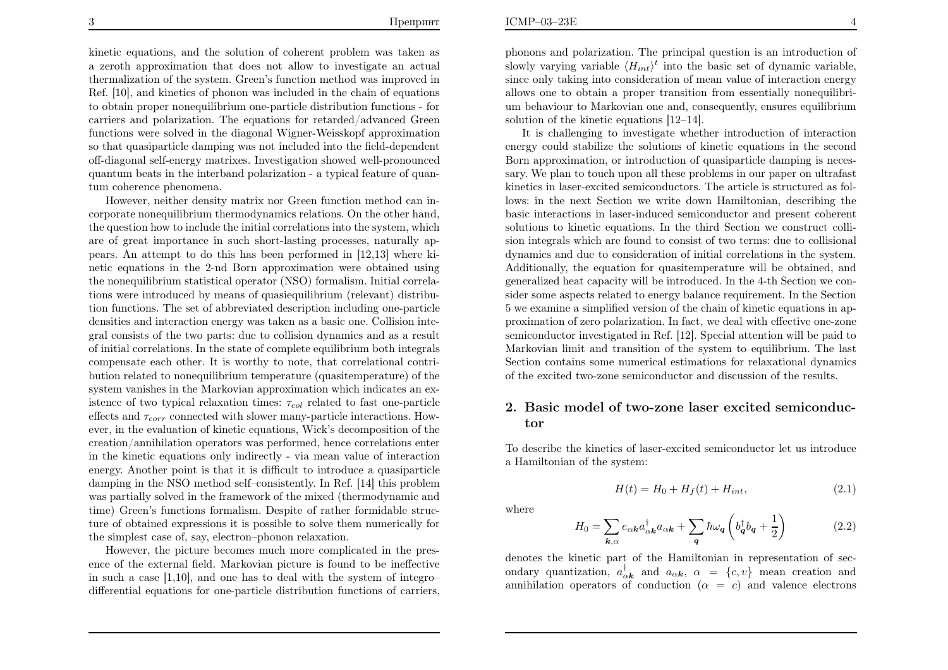kinetic equations, and the solution of coherent problem was taken as <sup>a</sup> zeroth approximation that does not allow to investigate an actual thermalization of the system. Green's function method was improved in Ref. [10], and kinetics of <sup>p</sup>honon was included in the chain of equations to obtain proper nonequilibrium one-particle distribution functions - for carriers and polarization. The equations for retarded/advanced Green functions were solved in the diagonal Wigner-Weisskopf approximation so that quasiparticle damping was not included into the field-dependent off-diagonal self-energy matrixes. Investigation showed well-pronounced quantum beats in the interband polarization - <sup>a</sup> typical feature of quantum coherence phenomena.

 However, neither density matrix nor Green function method can incorporate nonequilibrium thermodynamics relations. On the other hand,the question how to include the initial correlations into the system, which are of great importance in such short-lasting processes, naturally appears. An attempt to do this has been performed in [12,13] where kinetic equations in the 2-nd Born approximation were obtained using the nonequilibrium statistical operator (NSO) formalism. Initial correlations were introduced by means of quasiequilibrium (relevant) distribution functions. The set of abbreviated description including one-particle densities and interaction energy was taken as <sup>a</sup> basic one. Collision integral consists of the two parts: due to collision dynamics and as <sup>a</sup> result of initial correlations. In the state of complete equilibrium both integrals compensate each other. It is worthy to note, that correlational contribution related to nonequilibrium temperature (quasitemperature) of the system vanishes in the Markovian approximation which indicates an existence of two typical relaxation times:  $\tau_{col}$  related to fast one-particle effects and  $\tau_{corr}$  connected with slower many-particle interactions. How ever, in the evaluation of kinetic equations, Wick's decomposition of the creation/annihilation operators was performed, hence correlations enter in the kinetic equations only indirectly - via mean value of interaction energy. Another point is that it is difficult to introduce <sup>a</sup> quasiparticle damping in the NSO method self–consistently. In Ref. [14] this problem was partially solved in the framework of the mixed (thermodynamic and time) Green's functions formalism. Despite of rather formidable structure of obtained expressions it is possible to solve them numerically forthe simplest case of, say, electron–phonon relaxation.

However, the picture becomes much more complicated in the presence of the external field. Markovian picture is found to be ineffective in such <sup>a</sup> case [1,10], and one has to deal with the system of integro–differential equations for one-particle distribution functions of carriers,

phonons and polarization. The principal question is an introduction ofslowly varying variable  $\langle H_{int} \rangle^t$  into the basic set of dynamic variable, since only taking into consideration of mean value of interaction energy allows one to obtain <sup>a</sup> proper transition from essentially nonequilibrium behaviour to Markovian one and, consequently, ensures equilibriumsolution of the kinetic equations [12–14].

 It is challenging to investigate whether introduction of interaction energy could stabilize the solutions of kinetic equations in the second Born approximation, or introduction of quasiparticle damping is necessary. We <sup>p</sup>lan to touch upon all these problems in our paper on ultrafast kinetics in laser-excited semiconductors. The article is structured as follows: in the next Section we write down Hamiltonian, describing the basic interactions in laser-induced semiconductor and present coherent solutions to kinetic equations. In the third Section we construct collision integrals which are found to consist of two terms: due to collisional dynamics and due to consideration of initial correlations in the system. Additionally, the equation for quasitemperature will be obtained, and generalized heat capacity will be introduced. In the 4-th Section we consider some aspects related to energy balance requirement. In the Section 5 we examine <sup>a</sup> simplified version of the chain of kinetic equations in approximation of zero polarization. In fact, we deal with effective one-zone semiconductor investigated in Ref. [12]. Special attention will be paid to Markovian limit and transition of the system to equilibrium. The last Section contains some numerical estimations for relaxational dynamicsof the excited two-zone semiconductor and discussion of the results.

### 2. Basic model of two-zone laser excited semiconductor

To describe the kinetics of laser-excited semiconductor let us introduce<sup>a</sup> Hamiltonian of the system:

$$
H(t) = H_0 + H_f(t) + H_{int}, \t\t(2.1)
$$

where

$$
H_0 = \sum_{\mathbf{k},\alpha} e_{\alpha \mathbf{k}} a_{\alpha \mathbf{k}}^\dagger a_{\alpha \mathbf{k}} + \sum_{\mathbf{q}} \hbar \omega_{\mathbf{q}} \left( b_{\mathbf{q}}^\dagger b_{\mathbf{q}} + \frac{1}{2} \right) \tag{2.2}
$$

denotes the kinetic part of the Hamiltonian in representation of secondary quantization,  $a_{\alpha k}^{\dagger}$  and  $a_{\alpha k}$ ,  $\alpha = \{c, v\}$  mean creation and annihilation operators of conduction  $(\alpha = c)$  and valence electrons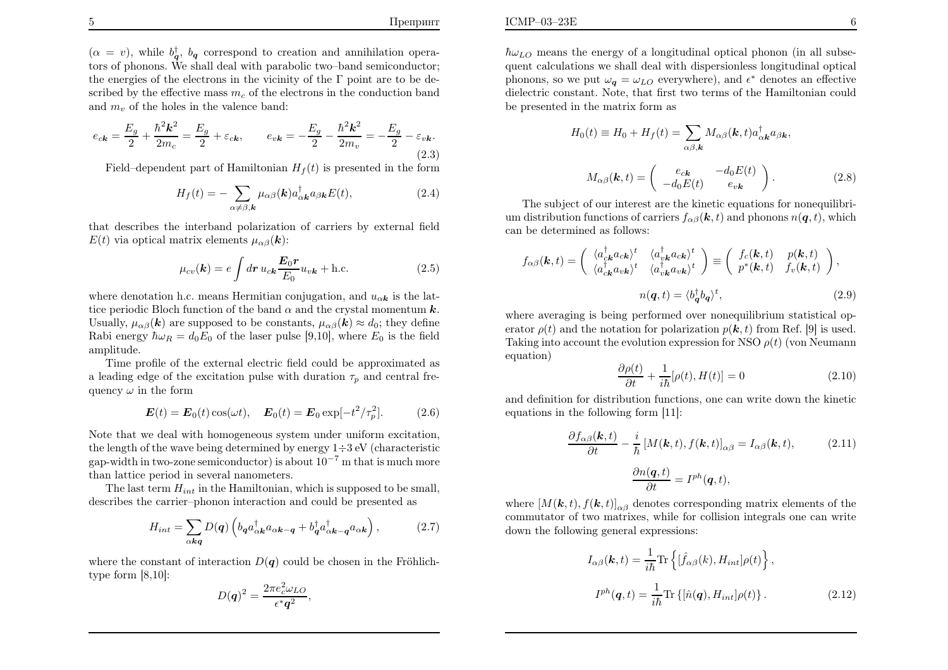$(\alpha = v)$ , while  $b_{\boldsymbol{q}}^{\dagger}$ ,  $b_{\boldsymbol{q}}$  correspond to creation and annihilation opera- tors of phonons. We shall deal with parabolic two–band semiconductor;the energies of the electrons in the vicinity of the  $\Gamma$  point are to be described by the effective mass  $m_c$  of the electrons in the conduction band and  $m_v$  of the holes in the valence band:

$$
e_{c\mathbf{k}} = \frac{E_g}{2} + \frac{\hbar^2 \mathbf{k}^2}{2m_c} = \frac{E_g}{2} + \varepsilon_{c\mathbf{k}}, \qquad e_{v\mathbf{k}} = -\frac{E_g}{2} - \frac{\hbar^2 \mathbf{k}^2}{2m_v} = -\frac{E_g}{2} - \varepsilon_{v\mathbf{k}}.
$$
\n(2.3)

Field–dependent part of Hamiltonian  $H_f (t)$  is presented in the form

$$
H_f(t) = -\sum_{\alpha \neq \beta, \mathbf{k}} \mu_{\alpha\beta}(\mathbf{k}) a_{\alpha\mathbf{k}}^\dagger a_{\beta\mathbf{k}} E(t), \tag{2.4}
$$

that describes the interband polarization of carriers by external field $E(t)$  via optical matrix elements  $\mu_{\alpha\beta}(\mathbf{k})$ :

$$
\mu_{cv}(\mathbf{k}) = e \int d\mathbf{r} \, u_{c\mathbf{k}} \frac{\mathbf{E}_0 \mathbf{r}}{E_0} u_{v\mathbf{k}} + \text{h.c.}
$$
\n(2.5)

where denotation h.c. means Hermitian conjugation, and  $u_{\alpha k}$  is the lattice periodic Bloch function of the band  $\alpha$  and the crystal momentum **k**. Usually,  $\mu_{\alpha\beta}(\mathbf{k})$  are supposed to be constants,  $\mu_{\alpha\beta}(\mathbf{k}) \approx d_0$ ; they define Rabi energy  $\hbar\omega_R=d_0E_0$  of the laser pulse [9,10], where  $E_0$  is the field amplitude.

Time profile of the external electric field could be approximated asa leading edge of the excitation pulse with duration  $\tau_p$  and central frequency  $\omega$  in the form

$$
\boldsymbol{E}(t) = \boldsymbol{E}_0(t) \cos(\omega t), \quad \boldsymbol{E}_0(t) = \boldsymbol{E}_0 \exp[-t^2/\tau_p^2]. \tag{2.6}
$$

Note that we deal with homogeneous system under uniform excitation,the length of the wave being determined by energy  $1\div 3$  eV (characteristic gap-width in two-zone semiconductor) is about  $10^{-7}$  m that is much more than lattice period in several nanometers.

The last term  $H_{int}$  in the Hamiltonian, which is supposed to be small, describes the carrier–phonon interaction and could be presented as

$$
H_{int} = \sum_{\alpha kq} D(q) \left( b_q a_{\alpha k}^\dagger a_{\alpha k-q} + b_q^\dagger a_{\alpha k-q}^\dagger a_{\alpha k} \right), \tag{2.7}
$$

,

where the constant of interaction  $D(q)$  could be chosen in the Fröhlichtype form [8,10]:

$$
D(\mathbf{q})^2 = \frac{2\pi e_c^2 \omega_{LO}}{\epsilon^* \mathbf{q}^2}
$$

 $\mathbf{E}$  6

 $\hbar\omega_{LO}$  means the energy of a longitudinal optical phonon (in all subsequent calculations we shall deal with dispersionless longitudinal opticalphonons, so we put  $\omega_q = \omega_{LO}$  everywhere), and  $\epsilon^*$  denotes an effective dielectric constant. Note, that first two terms of the Hamiltonian couldbe presented in the matrix form as

$$
H_0(t) \equiv H_0 + H_f(t) = \sum_{\alpha\beta,\mathbf{k}} M_{\alpha\beta}(\mathbf{k},t) a_{\alpha\mathbf{k}}^\dagger a_{\beta\mathbf{k}},
$$

$$
M_{\alpha\beta}(\mathbf{k},t) = \begin{pmatrix} e_{c\mathbf{k}} & -d_0 E(t) \\ -d_0 E(t) & e_{v\mathbf{k}} \end{pmatrix}.
$$
(2.8)

The subject of our interest are the kinetic equations for nonequilibrium distribution functions of carriers  $f_{\alpha\beta}(\mathbf{k}, t)$  and phonons  $n(\mathbf{q}, t)$ , which can be determined as follows:

$$
f_{\alpha\beta}(\mathbf{k},t) = \begin{pmatrix} \langle a_{c\mathbf{k}}^{\dagger} a_{c\mathbf{k}} \rangle^{t} & \langle a_{v\mathbf{k}}^{\dagger} a_{c\mathbf{k}} \rangle^{t} \\ \langle a_{c\mathbf{k}}^{\dagger} a_{v\mathbf{k}} \rangle^{t} & \langle a_{v\mathbf{k}}^{\dagger} a_{v\mathbf{k}} \rangle^{t} \end{pmatrix} \equiv \begin{pmatrix} f_{c}(\mathbf{k},t) & p(\mathbf{k},t) \\ p^{*}(\mathbf{k},t) & f_{v}(\mathbf{k},t) \end{pmatrix},
$$

$$
n(\mathbf{q},t) = \langle b_{\mathbf{q}}^{\dagger} b_{\mathbf{q}} \rangle^{t},
$$
(2.9)

where averaging is being performed over nonequilibrium statistical operator  $\rho(t)$  and the notation for polarization  $p(\mathbf{k}, t)$  from Ref. [9] is used. Taking into account the evolution expression for NSO  $\rho(t)$  (von Neumann equation)

$$
\frac{\partial \rho(t)}{\partial t} + \frac{1}{i\hbar}[\rho(t), H(t)] = 0
$$
\n(2.10)

 and definition for distribution functions, one can write down the kineticequations in the following form [11]:

$$
\frac{\partial f_{\alpha\beta}(\mathbf{k},t)}{\partial t} - \frac{i}{\hbar} \left[ M(\mathbf{k},t), f(\mathbf{k},t) \right]_{\alpha\beta} = I_{\alpha\beta}(\mathbf{k},t),\tag{2.11}
$$
\n
$$
\frac{\partial n(\mathbf{q},t)}{\partial t} = I^{ph}(\mathbf{q},t),
$$

where  $[M(\mathbf{k}, t), f(\mathbf{k}, t)]_{\alpha\beta}$  denotes corresponding matrix elements of the commutator of two matrixes, while for collision integrals one can writedown the following general expressions:

$$
I_{\alpha\beta}(\mathbf{k},t) = \frac{1}{i\hbar} \text{Tr} \left\{ [\hat{f}_{\alpha\beta}(k), H_{int}] \rho(t) \right\},
$$
  

$$
I^{ph}(\mathbf{q},t) = \frac{1}{i\hbar} \text{Tr} \left\{ [\hat{n}(\mathbf{q}), H_{int}] \rho(t) \right\}.
$$
 (2.12)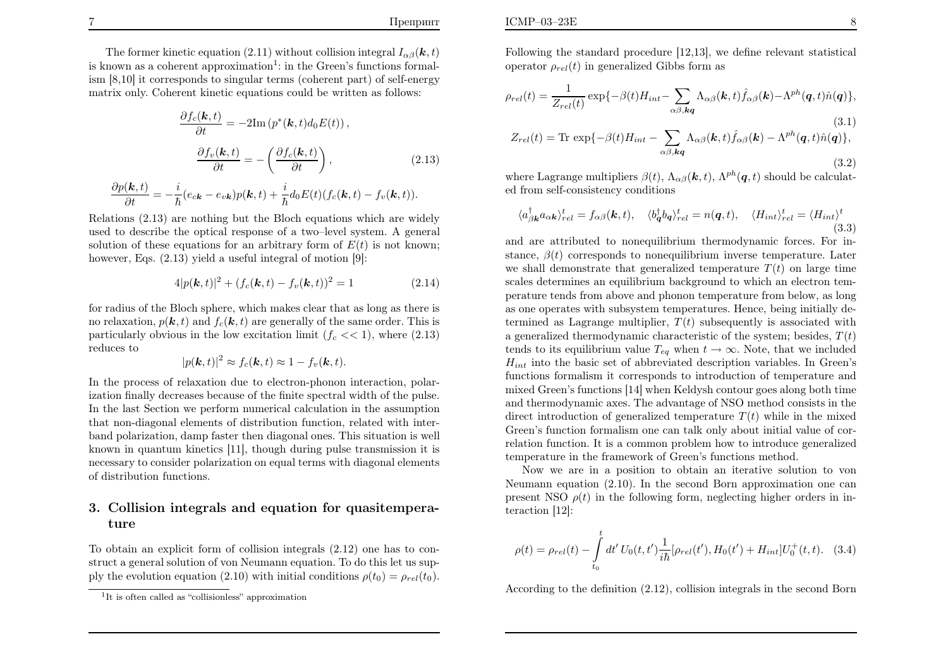The former kinetic equation (2.11) without collision integral  $I_{\alpha\beta}(\mathbf{k}, t)$ is known as a coherent approximation<sup>1</sup>: in the Green's functions formal ism [8,10] it corresponds to singular terms (coherent part) of self-energymatrix only. Coherent kinetic equations could be written as follows:

$$
\frac{\partial f_c(\mathbf{k},t)}{\partial t} = -2\mathrm{Im} \left( p^*(\mathbf{k},t) d_0 E(t) \right),
$$

$$
\frac{\partial f_v(\mathbf{k},t)}{\partial t} = -\left( \frac{\partial f_c(\mathbf{k},t)}{\partial t} \right), \qquad (2.13)
$$

$$
\frac{\partial p(\mathbf{k},t)}{\partial t} = -\frac{i}{\hbar} (e_{c\mathbf{k}} - e_{v\mathbf{k}}) p(\mathbf{k},t) + \frac{i}{\hbar} d_0 E(t) (f_c(\mathbf{k},t) - f_v(\mathbf{k},t)).
$$

 Relations (2.13) are nothing but the Bloch equations which are widely used to describe the optical response of <sup>a</sup> two–level system. A genera<sup>l</sup> solution of these equations for an arbitrary form of  $E(t)$  is not known; however, Eqs.  $(2.13)$  yield a useful integral of motion [9]:

$$
4|p(\mathbf{k},t)|^2 + (f_c(\mathbf{k},t) - f_v(\mathbf{k},t))^2 = 1
$$
\n(2.14)

for radius of the Bloch sphere, which makes clear that as long as there is no relaxation,  $p(\mathbf{k}, t)$  and  $f_c(\mathbf{k}, t)$  are generally of the same order. This is particularly obvious in the low excitation limit  $(f_c \ll 1)$ , where  $(2.13)$ reduces to

$$
|p(\mathbf{k},t)|^2 \approx f_c(\mathbf{k},t) \approx 1 - f_v(\mathbf{k},t).
$$

In the process of relaxation due to electron-phonon interaction, polarization finally decreases because of the finite spectral width of the pulse.In the last Section we perform numerical calculation in the assumption that non-diagonal elements of distribution function, related with interband polarization, damp faster then diagonal ones. This situation is wellknown in quantum kinetics [11], though during pulse transmission it is necessary to consider polarization on equal terms with diagonal elementsof distribution functions.

# 3. Collision integrals and equation for quasitemperature

To obtain an explicit form of collision integrals (2.12) one has to construct <sup>a</sup> general solution of von Neumann equation. To do this let us supply the evolution equation (2.10) with initial conditions  $\rho(t_0) = \rho_{rel}(t_0)$ .

Following the standard procedure [12,13], we define relevant statisticaloperator  $\rho_{rel}(t)$  in generalized Gibbs form as

$$
\rho_{rel}(t) = \frac{1}{Z_{rel}(t)} \exp\{-\beta(t)H_{int} - \sum_{\alpha\beta,\mathbf{kq}} \Lambda_{\alpha\beta}(\mathbf{k},t)\hat{f}_{\alpha\beta}(\mathbf{k}) - \Lambda^{ph}(\mathbf{q},t)\hat{n}(\mathbf{q})\},\tag{3.1}
$$

$$
Z_{rel}(t) = \text{Tr} \exp\{-\beta(t)H_{int} - \sum_{\alpha\beta,\mathbf{kq}} \Lambda_{\alpha\beta}(\mathbf{k},t)\hat{f}_{\alpha\beta}(\mathbf{k}) - \Lambda^{ph}(\mathbf{q},t)\hat{n}(\mathbf{q})\},\tag{3.2}
$$

where Lagrange multipliers  $\beta(t)$ ,  $\Lambda_{\alpha\beta}(\mathbf{k},t)$ ,  $\Lambda^{ph}(\mathbf{q},t)$  should be calculated from self-consistency conditions

$$
\langle a_{\beta \mathbf{k}}^{\dagger} a_{\alpha \mathbf{k}} \rangle_{rel}^{t} = f_{\alpha \beta}(\mathbf{k}, t), \quad \langle b_{\mathbf{q}}^{\dagger} b_{\mathbf{q}} \rangle_{rel}^{t} = n(\mathbf{q}, t), \quad \langle H_{int} \rangle_{rel}^{t} = \langle H_{int} \rangle^{t}
$$
\n(3.3)

 and are attributed to nonequilibrium thermodynamic forces. For instance,  $\beta(t)$  corresponds to nonequilibrium inverse temperature. Later we shall demonstrate that generalized temperature  $T(t)$  on large time scales determines an equilibrium background to which an electron temperature tends from above and <sup>p</sup>honon temperature from below, as long as one operates with subsystem temperatures. Hence, being initially determined as Lagrange multiplier,  $T(t)$  subsequently is associated with a generalized thermodynamic characteristic of the system; besides,  $T(t)$ tends to its equilibrium value  $T_{eq}$  when  $t \to \infty$ . Note, that we included  $H_{eq}$  $H_{int}$  into the basic set of abbreviated description variables. In Green's functions formalism it corresponds to introduction of temperature and mixed Green's functions [14] when Keldysh contour goes along both time and thermodynamic axes. The advantage of NSO method consists in thedirect introduction of generalized temperature  $T(t)$  while in the mixed Green's function formalism one can talk only about initial value of correlation function. It is <sup>a</sup> common problem how to introduce generalizedtemperature in the framework of Green's functions method.

Now we are in <sup>a</sup> position to obtain an iterative solution to von Neumann equation (2.10). In the second Born approximation one canpresent NSO  $\rho(t)$  in the following form, neglecting higher orders in interaction [12]:

$$
\rho(t) = \rho_{rel}(t) - \int_{t_0}^t dt' U_0(t, t') \frac{1}{i\hbar} [\rho_{rel}(t'), H_0(t') + H_{int}] U_0^+(t, t). \quad (3.4)
$$

According to the definition (2.12), collision integrals in the second Born

<sup>&</sup>lt;sup>1</sup>It is often called as "collisionless" approximation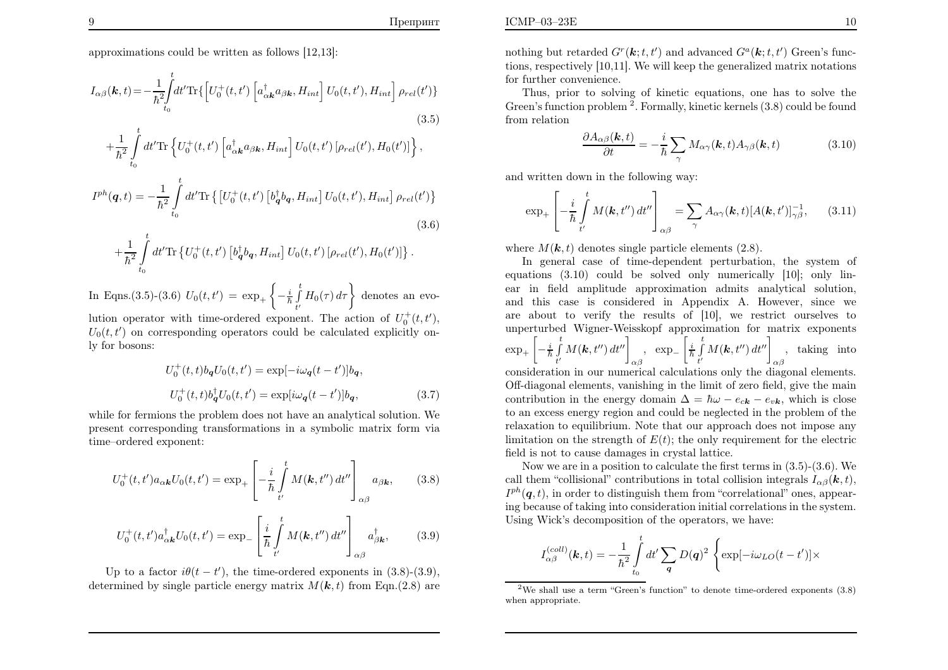approximations could be written as follows [12,13]:

$$
I_{\alpha\beta}(\mathbf{k},t) = -\frac{1}{\hbar^2} \int_{t_0}^t dt' \text{Tr}\left\{ \left[ U_0^+(t,t') \left[ a_{\alpha\mathbf{k}}^\dagger a_{\beta\mathbf{k}}, H_{int} \right] U_0(t,t'), H_{int} \right] \rho_{rel}(t') \right\}
$$
(3.5)

$$
+\frac{1}{\hbar^2}\int\limits_{t_0}^t dt'\text{Tr}\left\{U_0^+(t,t')\left[a_{\alpha\mathbf{k}}^\dagger a_{\beta\mathbf{k}},H_{int}\right]U_0(t,t')\left[\rho_{rel}(t'),H_0(t')\right]\right\},\,
$$

$$
I^{ph}(\boldsymbol{q},t) = -\frac{1}{\hbar^2} \int_{t_0}^t dt' \text{Tr} \left\{ \left[ U_0^+(t,t') \left[ b_{\boldsymbol{q}}^{\dagger} b_{\boldsymbol{q}}, H_{int} \right] U_0(t,t'), H_{int} \right] \rho_{rel}(t') \right\}
$$
\n(3.6)

$$
+\frac{1}{\hbar^2}\int_{t_0}^t dt' \text{Tr}\left\{U_0^+(t,t')\left[b_q^{\dagger}b_q, H_{int}\right]U_0(t,t')\left[\rho_{rel}(t'), H_0(t')\right]\right\}.
$$

In Eqns.(3.5)-(3.6)  $U_0(t,t') = \exp_+\bigg\{$  $-\frac{i}{\hbar}\int\limits_{t'}^t H_0(\tau)\,d\tau\bigg\}$  denotes an evo-

lution operator with time-ordered exponent. The action of  $U_0^+(t,t')$ ,  $U_0(t,t')$  on corresponding operators could be calculated explicitly only for bosons:

$$
U_0^+(t,t)b_q U_0(t,t') = \exp[-i\omega_q(t-t')]b_q,
$$
  

$$
U_0^+(t,t)b_q^{\dagger} U_0(t,t') = \exp[i\omega_q(t-t')]b_q,
$$
 (3.7)

while for fermions the problem does not have an analytical solution. We present corresponding transformations in <sup>a</sup> symbolic matrix form viatime–ordered exponent:

$$
U_0^+(t,t')a_{\alpha k}U_0(t,t') = \exp_+\left[-\frac{i}{\hbar}\int\limits_{t'}^t M(\mathbf{k},t'')\,dt''\right]_{\alpha\beta k},\qquad(3.8)
$$

$$
U_0^+(t,t')a_{\alpha k}^\dagger U_0(t,t') = \exp \left[\frac{i}{\hbar} \int\limits_{t'}^t M(\mathbf{k},t'') dt'' \right]_{\alpha \beta} a_{\beta k}^\dagger, \tag{3.9}
$$

Up to a factor  $i\theta(t-t')$ , the time-ordered exponents in (3.8)-(3.9), determined by single particle energy matrix  $M(\mathbf{k}, t)$  from Eqn.(2.8) are

nothing but retarded  $G<sup>r</sup>(\mathbf{k}; t, t')$  and advanced  $G<sup>a</sup>(\mathbf{k}; t, t')$  Green's func- tions, respectively [10,11]. We will keep the generalized matrix notationsfor further convenience.

Thus, prior to solving of kinetic equations, one has to solve the Green's function problem  $^2$ . Formally, kinetic kernels  $(3.8)$  could be found<br>from arbitrary from relation

$$
\frac{\partial A_{\alpha\beta}(\mathbf{k},t)}{\partial t} = -\frac{i}{\hbar} \sum_{\gamma} M_{\alpha\gamma}(\mathbf{k},t) A_{\gamma\beta}(\mathbf{k},t)
$$
(3.10)

and written down in the following way:

$$
\exp_{+}\left[-\frac{i}{\hbar}\int\limits_{t'}^{t}M(\mathbf{k},t'')\,dt''\right]_{\alpha\beta}=\sum_{\gamma}A_{\alpha\gamma}(\mathbf{k},t)[A(\mathbf{k},t')]_{\gamma\beta}^{-1},\qquad(3.11)
$$

where  $M(\mathbf{k}, t)$  denotes single particle elements (2.8).

In general case of time-dependent perturbation, the system of  $\epsilon$  and  $\epsilon$  and  $\epsilon$  and  $\epsilon$  and  $\epsilon$  is  $\epsilon$  and  $\epsilon$  is  $\epsilon$  and  $\epsilon$  is  $\epsilon$  is  $\epsilon$  is  $\epsilon$  is  $\epsilon$  is  $\epsilon$  is  $\epsilon$  is  $\epsilon$  is  $\epsilon$  is  $\epsilon$  is  $\epsilon$  is  $\$ equations (3.10) could be solved only numerically [10]; only linear in field amplitude approximation admits analytical solution,and this case is considered in Appendix A. However, since we are about to verify the results of [10], we restrict ourselves to unperturbed Wigner-Weisskopf approximation for matrix exponents $\exp_+\Bigg[$  $\frac{i}{\hbar} \int\limits_{t'}^t$  consideration in our numerical calculations only the diagonal elements. $M(\boldsymbol{k},t^{\prime\prime})\,dt^{\prime\prime}\bigg]_{\alpha\beta}$ , exp − $\begin{bmatrix} \frac{i}{\hbar} \ \frac{j}{\hbar} \ \frac{t'}{t'} \end{bmatrix}$  $M(\boldsymbol{k},t^{\prime\prime})\,dt^{\prime\prime}\bigg]_{\alpha\beta},~~{\rm taking}~~{\rm into}~~% \label{M1}%$  Off-diagonal elements, vanishing in the limit of zero field, give the maincontribution in the energy domain  $\Delta = \hbar \omega - e_{ck} - e_{vk}$ , which is close to an excess energy region and could be neglected in the problem of the relaxation to equilibrium. Note that our approach does not impose anylimitation on the strength of  $E(t)$ ; the only requirement for the electric field is not to cause damages in crystal lattice.

Now we are in <sup>a</sup> position to calculate the first terms in (3.5)-(3.6). Wecall them "collisional" contributions in total collision integrals  $I_{\alpha\beta}(\mathbf{k}, t)$ ,  $I^{ph}(\boldsymbol{q}, t)$ , in order to distinguish them from "correlational" ones, appearing because of taking into consideration initial correlations in the system.Using Wick's decomposition of the operators, we have:

$$
I_{\alpha\beta}^{(coll)}(\mathbf{k},t) = -\frac{1}{\hbar^2} \int_{t_0}^t dt' \sum_{\mathbf{q}} D(\mathbf{q})^2 \left\{ \exp[-i\omega_{LO}(t-t')] \times \right.
$$

<sup>&</sup>lt;sup>2</sup>We shall use a term "Green's function" to denote time-ordered exponents  $(3.8)$ when appropriate.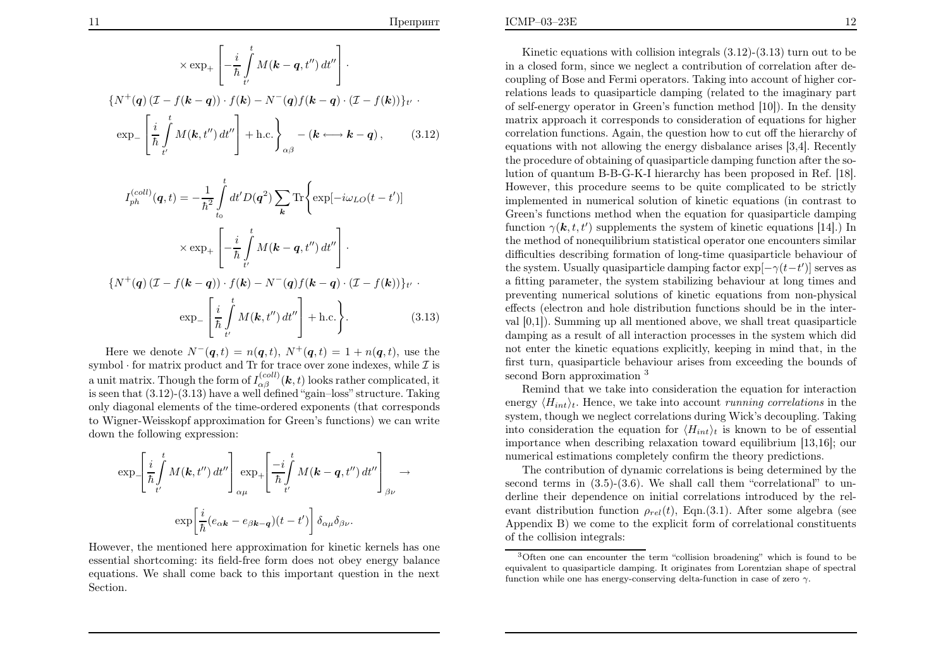$$
\times \exp_{+}\left[-\frac{i}{\hbar}\int_{t'}^{t} M(\mathbf{k}-\mathbf{q},t'') dt''\right].
$$
  
\n
$$
\{N^{+}(\mathbf{q})\left(\mathcal{I}-f(\mathbf{k}-\mathbf{q})\right)\cdot f(\mathbf{k})-N^{-}(\mathbf{q})f(\mathbf{k}-\mathbf{q})\cdot(\mathcal{I}-f(\mathbf{k}))\}_{t'}.
$$
  
\n
$$
\exp_{-}\left[\frac{i}{\hbar}\int_{t'}^{t} M(\mathbf{k},t'') dt''\right]+\text{h.c.}\right\}_{\alpha\beta} - (\mathbf{k}\longleftrightarrow\mathbf{k}-\mathbf{q}), \qquad (3.12)
$$
  
\n
$$
I_{ph}^{(coll)}(\mathbf{q},t) = -\frac{1}{\hbar^{2}}\int_{t_{0}}^{t} dt' D(\mathbf{q}^{2}) \sum_{\mathbf{k}} \text{Tr}\left\{\exp[-i\omega_{LO}(t-t')]\right.\newline \times \exp_{+}\left[-\frac{i}{\hbar}\int_{t'}^{t} M(\mathbf{k}-\mathbf{q},t'') dt''\right].
$$
  
\n
$$
\{N^{+}(\mathbf{q})\left(\mathcal{I}-f(\mathbf{k}-\mathbf{q})\right)\cdot f(\mathbf{k})-N^{-}(\mathbf{q})f(\mathbf{k}-\mathbf{q})\cdot(\mathcal{I}-f(\mathbf{k}))\}_{t'}.
$$
  
\n
$$
\exp_{-}\left[\frac{i}{\hbar}\int_{t'}^{t} M(\mathbf{k},t'') dt''\right]+\text{h.c.}\right]. \qquad (3.13)
$$

Here we denote  $N^{-}(\boldsymbol{q}, t) = n(\boldsymbol{q}, t)$ ,  $N^{+}(\boldsymbol{q}, t) = 1 + n(\boldsymbol{q}, t)$ , use the symbol  $\cdot$  for matrix product and Tr for trace over zone indexes, while  $\mathcal{I}$  is a unit matrix. Though the form of  $I^{(coll)}_{\alpha\beta}(\boldsymbol{k},t)$  looks rather complicated, it is seen that (3.12)-(3.13) have <sup>a</sup> well defined "gain–loss" structure. Taking only diagonal elements of the time-ordered exponents (that corresponds to Wigner-Weisskopf approximation for Green's functions) we can writedown the following expression:

$$
\exp\left[\frac{i}{\hbar}\int\limits_{t'}^t M(\mathbf{k},t'') dt''\right] \exp\left[\frac{-i}{\hbar}\int\limits_{t'}^t M(\mathbf{k}-\mathbf{q},t'') dt''\right]_{\beta\nu} \to
$$

$$
\exp\left[\frac{i}{\hbar}(e_{\alpha\mathbf{k}}-e_{\beta\mathbf{k}-\mathbf{q}})(t-t')\right] \delta_{\alpha\mu}\delta_{\beta\nu}.
$$

However, the mentioned here approximation for kinetic kernels has one essential shortcoming: its field-free form does not obey energy balance equations. We shall come back to this important question in the nextSection.

Kinetic equations with collision integrals (3.12)-(3.13) turn out to be in <sup>a</sup> closed form, since we neglect <sup>a</sup> contribution of correlation after decoupling of Bose and Fermi operators. Taking into account of higher correlations leads to quasiparticle damping (related to the imaginary part of self-energy operator in Green's function method [10]). In the density matrix approach it corresponds to consideration of equations for higher correlation functions. Again, the question how to cut off the hierarchy of equations with not allowing the energy disbalance arises [3,4]. Recently the procedure of obtaining of quasiparticle damping function after the solution of quantum B-B-G-K-I hierarchy has been proposed in Ref. [18]. However, this procedure seems to be quite complicated to be strictly implemented in numerical solution of kinetic equations (in contrast to Green's functions method when the equation for quasiparticle dampingfunction  $\gamma(\mathbf{k}, t, t')$  supplements the system of kinetic equations [14].) In the method of nonequilibrium statistical operator one encounters similar difficulties describing formation of long-time quasiparticle behaviour ofthe system. Usually quasiparticle damping factor  $\exp[-\gamma(t-t')]$  serves as <sup>a</sup> fitting parameter, the system stabilizing behaviour at long times and preventing numerical solutions of kinetic equations from non-physicaleffects (electron and hole distribution functions should be in the interval [0,1]). Summing up all mentioned above, we shall treat quasiparticle damping as <sup>a</sup> result of all interaction processes in the system which did not enter the kinetic equations explicitly, keeping in mind that, in the first turn, quasiparticle behaviour arises from exceeding the bounds ofsecond Born approximation<sup>3</sup>

 Remind that we take into consideration the equation for interactionenergy  $\langle H_{int} \rangle_t$ . Hence, we take into account *running correlations* in the system, though we neglect correlations during Wick's decoupling. Takinginto consideration the equation for  $\langle H_{int} \rangle_t$  is known to be of essential importance when describing relaxation toward equilibrium [13,16]; our numerical estimations completely confirm the theory predictions.

 The contribution of dynamic correlations is being determined by the second terms in (3.5)-(3.6). We shall call them "correlational" to underline their dependence on initial correlations introduced by the relevant distribution function  $\rho_{rel}(t)$ , Eqn.(3.1). After some algebra (see Appendix B) we come to the explicit form of correlational constituentsof the collision integrals:

<sup>3</sup>Often one can encounter the term "collision broadening" which is found to be equivalent to quasiparticle damping. It originates from Lorentzian shape of spectralfunction while one has energy-conserving delta-function in case of zero  $\gamma$ .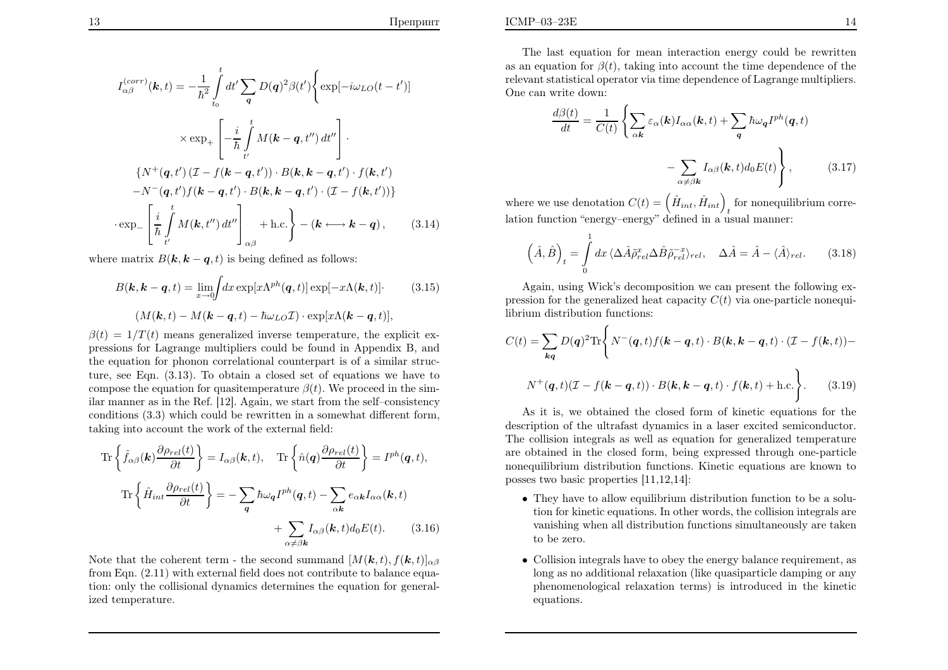$$
I_{\alpha\beta}^{(corr)}(\mathbf{k},t) = -\frac{1}{\hbar^2} \int_{t_0}^t dt' \sum_{\mathbf{q}} D(\mathbf{q})^2 \beta(t') \left\{ \exp[-i\omega_{LO}(t-t')] \right.
$$
  
\n
$$
\times \exp_+ \left[ -\frac{i}{\hbar} \int_{t'}^t M(\mathbf{k}-\mathbf{q},t'') dt'' \right].
$$
  
\n
$$
\left\{ N^+(\mathbf{q},t') \left( \mathcal{I} - f(\mathbf{k}-\mathbf{q},t') \right) \cdot B(\mathbf{k},\mathbf{k}-\mathbf{q},t') \cdot f(\mathbf{k},t') - N^-(\mathbf{q},t') f(\mathbf{k}-\mathbf{q},t') \cdot B(\mathbf{k},\mathbf{k}-\mathbf{q},t') \cdot ( \mathcal{I} - f(\mathbf{k},t')) \right\}
$$
  
\n
$$
\cdot \exp_-\left[ \frac{i}{\hbar} \int_{t'}^t M(\mathbf{k},t'') dt'' \right]_{\alpha\beta} + \text{h.c.} \right\} - (\mathbf{k} \longleftrightarrow \mathbf{k} - \mathbf{q}), \qquad (3.14)
$$

where matrix  $B(\mathbf{k}, \mathbf{k}-\mathbf{q}, t)$  is being defined as follows:

$$
B(\mathbf{k}, \mathbf{k} - \mathbf{q}, t) = \lim_{x \to 0} \int dx \exp[x\Lambda^{ph}(\mathbf{q}, t)] \exp[-x\Lambda(\mathbf{k}, t)]. \tag{3.15}
$$

$$
(M(\mathbf{k}, t) - M(\mathbf{k} - \mathbf{q}, t) - \hbar \omega_{LO} \mathcal{I}) \cdot \exp[x\Lambda(\mathbf{k} - \mathbf{q}, t)],
$$

$$
\beta(t) = 1/T(t)
$$
 means generalized inverse temperature, the explicit expressions for Lagrange multipliers could be found in Appendix B, and the equation for phonon correlational counterpart is of a similar structure, see Eqn. (3.13). To obtain a closed set of equations we have to compose the equation for quasitemperature  $\beta(t)$ . We proceed in the similar manner as in the Ref. [12]. Again, we start from the self-consistency conditions (3.3) which could be rewritten in a somewhat different form, taking into account the work of the external field:

$$
\operatorname{Tr}\left\{\hat{f}_{\alpha\beta}(\mathbf{k})\frac{\partial \rho_{rel}(t)}{\partial t}\right\} = I_{\alpha\beta}(\mathbf{k},t), \quad \operatorname{Tr}\left\{\hat{n}(\mathbf{q})\frac{\partial \rho_{rel}(t)}{\partial t}\right\} = I^{ph}(\mathbf{q},t),
$$
\n
$$
\operatorname{Tr}\left\{\hat{H}_{int}\frac{\partial \rho_{rel}(t)}{\partial t}\right\} = -\sum_{\mathbf{q}}\hbar\omega_{\mathbf{q}}I^{ph}(\mathbf{q},t) - \sum_{\alpha\mathbf{k}}e_{\alpha\mathbf{k}}I_{\alpha\alpha}(\mathbf{k},t)
$$
\n
$$
+\sum_{\alpha\neq\beta\mathbf{k}}I_{\alpha\beta}(\mathbf{k},t)d_{0}E(t). \tag{3.16}
$$

Note that the coherent term - the second summand  $[M(\mathbf{k}, t), f(\mathbf{k}, t)]_{\alpha\beta}$  from Eqn. (2.11) with external field does not contribute to balance equation: only the collisional dynamics determines the equation for generalized temperature.

The last equation for mean interaction energy could be rewrittenas an equation for  $\beta(t)$ , taking into account the time dependence of the relevant statistical operator via time dependence of Lagrange multipliers.One can write down:

$$
\frac{d\beta(t)}{dt} = \frac{1}{C(t)} \left\{ \sum_{\alpha k} \varepsilon_{\alpha}(k) I_{\alpha\alpha}(k, t) + \sum_{q} \hbar \omega_{q} I^{ph}(q, t) - \sum_{\alpha \neq \beta k} I_{\alpha\beta}(k, t) d_{0} E(t) \right\},
$$
(3.17)

where we use denotation  $C(t) = \left(\hat{H}_{int}, \hat{H}_{int}\right)_{t}$  for nonequilibrium corre-lation function "energy–energy" defined in <sup>a</sup> usual manner:

$$
\left(\hat{A},\hat{B}\right)_t = \int_0^1 dx \,\langle \Delta \hat{A} \tilde{\rho}_{rel}^x \Delta \hat{B} \tilde{\rho}_{rel}^{-x} \rangle_{rel}, \quad \Delta \hat{A} = \hat{A} - \langle \hat{A} \rangle_{rel}. \tag{3.18}
$$

Again, using Wick's decomposition we can present the following expression for the generalized heat capacity  $C(t)$  via one-particle nonequilibrium distribution functions:

$$
C(t) = \sum_{kq} D(q)^2 \text{Tr} \left\{ N^-(q, t) f(k - q, t) \cdot B(k, k - q, t) \cdot (\mathcal{I} - f(k, t)) - N^+(q, t) (\mathcal{I} - f(k - q, t)) \cdot B(k, k - q, t) \cdot f(k, t) + \text{h.c.} \right\}.
$$
 (3.19)

As it is, we obtained the closed form of kinetic equations for the description of the ultrafast dynamics in <sup>a</sup> laser excited semiconductor.The collision integrals as well as equation for generalized temperature are obtained in the closed form, being expressed through one-particle nonequilibrium distribution functions. Kinetic equations are known toposses two basic properties [11,12,14]:

- They have to allow equilibrium distribution function to be <sup>a</sup> solution for kinetic equations. In other words, the collision integrals are vanishing when all distribution functions simultaneously are takento be zero.
- Collision integrals have to obey the energy balance requirement, as long as no additional relaxation (like quasiparticle damping or any <sup>p</sup>henomenological relaxation terms) is introduced in the kineticequations.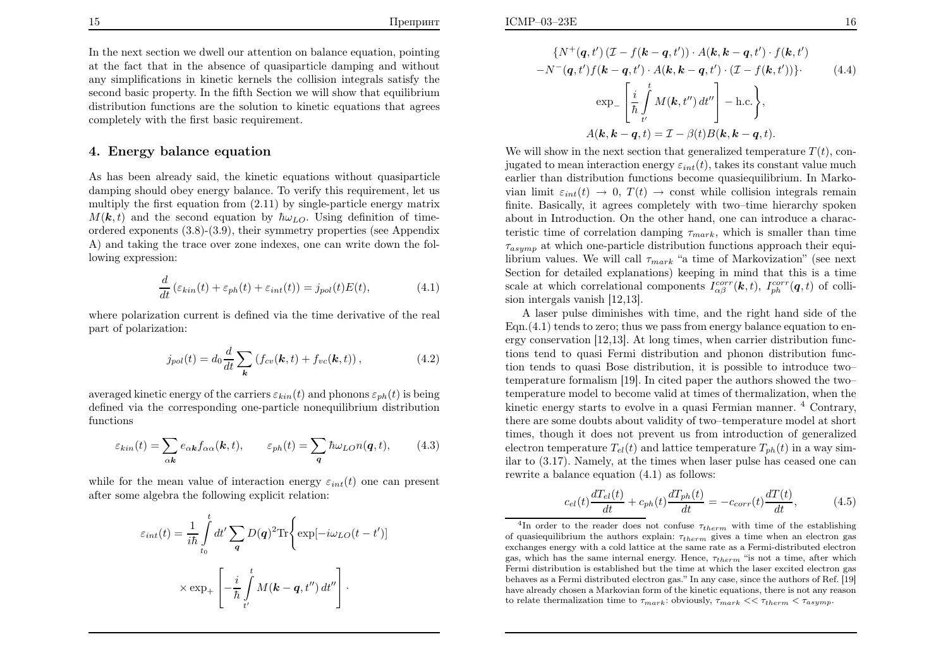In the next section we dwell our attention on balance equation, pointing at the fact that in the absence of quasiparticle damping and without any simplifications in kinetic kernels the collision integrals satisfy the second basic property. In the fifth Section we will show that equilibrium distribution functions are the solution to kinetic equations that agreescompletely with the first basic requirement.

#### 4. Energy balance equation

As has been already said, the kinetic equations without quasiparticle damping should obey energy balance. To verify this requirement, let us multiply the first equation from (2.11) by single-particle energy matrix $M(\mathbf{k}, t)$  and the second equation by  $\hbar \omega_{LO}$ . Using definition of timeordered exponents (3.8)-(3.9), their symmetry properties (see Appendix A) and taking the trace over zone indexes, one can write down the following expression:

$$
\frac{d}{dt}\left(\varepsilon_{kin}(t) + \varepsilon_{ph}(t) + \varepsilon_{int}(t)\right) = j_{pol}(t)E(t),\tag{4.1}
$$

where polarization current is defined via the time derivative of the realpart of polarization:

$$
j_{pol}(t) = d_0 \frac{d}{dt} \sum_{\mathbf{k}} \left( f_{cv}(\mathbf{k}, t) + f_{vc}(\mathbf{k}, t) \right), \tag{4.2}
$$

averaged kinetic energy of the carriers  $\varepsilon_{kin}(t)$  and phonons  $\varepsilon_{ph}(t)$  is being defined via the corresponding one-particle nonequilibrium distribution<br>functions functions

$$
\varepsilon_{kin}(t) = \sum_{\alpha k} e_{\alpha k} f_{\alpha \alpha}(k, t), \qquad \varepsilon_{ph}(t) = \sum_{\mathbf{q}} \hbar \omega_{LO} n(\mathbf{q}, t), \qquad (4.3)
$$

while for the mean value of interaction energy  $\varepsilon_{int}(t)$  one can present after some algebra the following explicit relation:

$$
\varepsilon_{int}(t) = \frac{1}{i\hbar} \int_{t_0}^t dt' \sum_{\mathbf{q}} D(\mathbf{q})^2 \text{Tr} \left\{ \exp[-i\omega_{LO}(t-t')] \right\}
$$

$$
\times \exp_+ \left[ -\frac{i}{\hbar} \int_{t'}^t M(\mathbf{k} - \mathbf{q}, t'') dt'' \right].
$$

$$
\{N^+(q,t')\left(\mathcal{I} - f(k-q,t')\right) \cdot A(k,k-q,t') \cdot f(k,t')\n- N^-(q,t')f(k-q,t') \cdot A(k,k-q,t') \cdot (\mathcal{I} - f(k,t'))\}.
$$
\n
$$
\exp_{-}\left[\frac{i}{\hbar}\int\limits_{t'}^t M(k,t'')\,dt''\right] - \text{h.c.}\right\},
$$
\n
$$
A(k,k-q,t) = \mathcal{I} - \beta(t)B(k,k-q,t).
$$
\n(4.4)

We will show in the next section that generalized temperature  $T(t)$ , conjugated to mean interaction energy  $\varepsilon_{int}(t)$ , takes its constant value much earlier than distribution functions become quasiequilibrium. In Markovian limit  $\varepsilon_{int}(t) \rightarrow 0$ ,  $T(t) \rightarrow$  const while collision integrals remain<br>finite. Besically it agrees completely with two-time hierarchy spoken finite. Basically, it agrees completely with two–time hierarchy spoken about in Introduction. On the other hand, one can introduce <sup>a</sup> characteristic time of correlation damping  $\tau_{mark}$ , which is smaller than time  $\tau_{asymp}$  at which one-particle distribution functions approach their equilibrium values. We will call  $\tau_{mark}$  "a time of Markovization" (see next Section for detailed explanations) keeping in mind that this is <sup>a</sup> timescale at which correlational components  $I^{corr}_{\alpha\beta}(\mathbf{k}, t)$ ,  $I^{corr}_{ph}(\mathbf{q}, t)$  of collision intergals vanish [12,13].

 A laser pulse diminishes with time, and the right hand side of the Eqn.(4.1) tends to zero; thus we pass from energy balance equation to energy conservation [12,13]. At long times, when carrier distribution functions tend to quasi Fermi distribution and phonon distribution function tends to quasi Bose distribution, it is possible to introduce two– temperature formalism [19]. In cited paper the authors showed the two– temperature model to become valid at times of thermalization, when thekinetic energy starts to evolve in a quasi Fermian manner.<sup>4</sup> Contrary, there are some doubts about validity of two–temperature model at short times, though it does not prevent us from introduction of generalizedelectron temperature  $T_{el}(t)$  and lattice temperature  $T_{ph}(t)$  in a way sim- ilar to (3.17). Namely, at the times when laser pulse has ceased one canrewrite <sup>a</sup> balance equation (4.1) as follows:

$$
c_{el}(t)\frac{dT_{el}(t)}{dt} + c_{ph}(t)\frac{dT_{ph}(t)}{dt} = -c_{corr}(t)\frac{dT(t)}{dt},\qquad(4.5)
$$

<sup>4</sup>In order to the reader does not confuse  $\tau_{therm}$  with time of the establishing<br>quasiequilibrium the authors explain:  $\tau_{\rm{tot}}$  gives a time when an electron gas of quasiequilibrium the authors explain:  $\tau_{therm}$  gives a time when an electron gas<br>exchanges energy with a cold lattice at the same rate as a Fermi-distributed electron exchanges energy with <sup>a</sup> cold lattice at the same rate as <sup>a</sup> Fermi-distributed electrongas, which has the same internal energy. Hence,  $\tau_{therm}$  "is not a time, after which<br>Fermi distribution is established but the time at which the laser excited electron ass Fermi distribution is established but the time at which the laser excited electron gas behaves as <sup>a</sup> Fermi distributed electron gas." In any case, since the authors of Ref. [19] have already chosen <sup>a</sup> Markovian form of the kinetic equations, there is not any reasonto relate thermalization time to  $\tau_{mark}$ : obviously,  $\tau_{mark} << \tau_{therm} < \tau_{asymp}$ .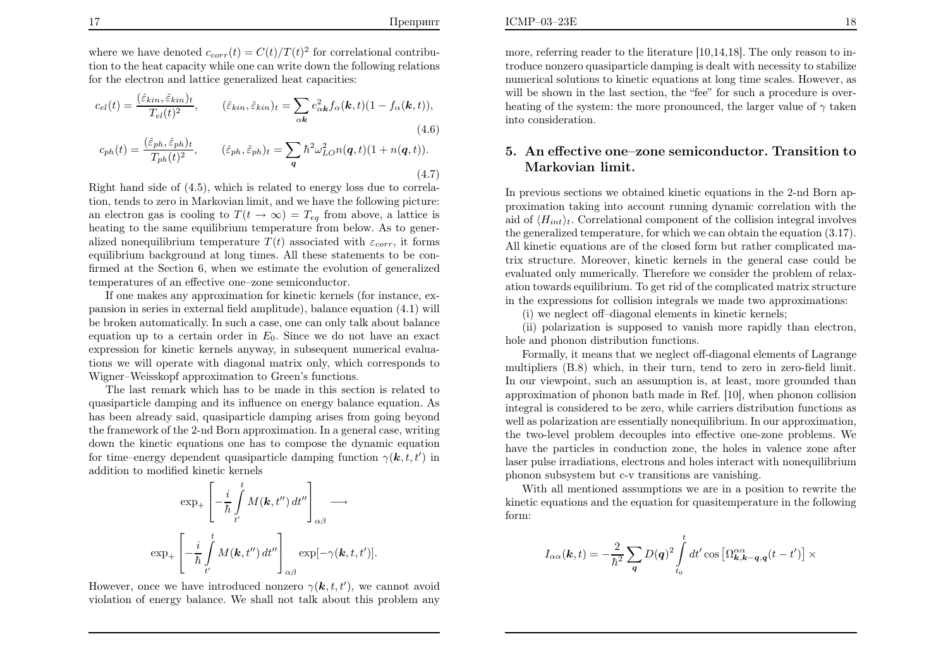ICMP–03–23E

where we have denoted  $c_{corr}(t) = C(t)/T(t)^2$  for correlational contribu tion to the heat capacity while one can write down the following relationsfor the electron and lattice generalized heat capacities:

$$
c_{el}(t) = \frac{(\hat{\varepsilon}_{kin}, \hat{\varepsilon}_{kin})_t}{T_{el}(t)^2}, \qquad (\hat{\varepsilon}_{kin}, \hat{\varepsilon}_{kin})_t = \sum_{\alpha k} e_{\alpha k}^2 f_{\alpha}(k, t)(1 - f_{\alpha}(k, t)),
$$
\n(4.6)

$$
c_{ph}(t) = \frac{(\hat{\varepsilon}_{ph}, \hat{\varepsilon}_{ph})_t}{T_{ph}(t)^2}, \qquad (\hat{\varepsilon}_{ph}, \hat{\varepsilon}_{ph})_t = \sum_{\mathbf{q}} \hbar^2 \omega_{LO}^2 n(\mathbf{q}, t) (1 + n(\mathbf{q}, t)).
$$
\n(4.7)

 Right hand side of (4.5), which is related to energy loss due to correlation, tends to zero in Markovian limit, and we have the following <sup>p</sup>icture:an electron gas is cooling to  $T(t \to \infty) = T_{eq}$  from above, a lattice is heating to the same equilibrium temperature from below. As to generalized nonequilibrium temperature  $T(t)$  associated with  $\varepsilon_{corr}$ , it forms equilibrium background at long times. All these statements to be confirmed at the Section 6, when we estimate the evolution of generalizedtemperatures of an effective one–zone semiconductor.

If one makes any approximation for kinetic kernels (for instance, expansion in series in external field amplitude), balance equation (4.1) willbe broken automatically. In such <sup>a</sup> case, one can only talk about balanceequation up to a certain order in  $E_0$ . Since we do not have an exact expression for kinetic kernels anyway, in subsequent numerical evaluations we will operate with diagonal matrix only, which corresponds toWigner–Weisskopf approximation to Green's functions.

 The last remark which has to be made in this section is related to quasiparticle damping and its influence on energy balance equation. As has been already said, quasiparticle damping arises from going beyond the framework of the 2-nd Born approximation. In <sup>a</sup> general case, writing down the kinetic equations one has to compose the dynamic equationfor time–energy dependent quasiparticle damping function  $\gamma(\mathbf{k}, t, t')$  in addition to modified kinetic kernels

$$
\exp_{+}\left[-\frac{i}{\hbar}\int\limits_{t'}^{t}M(\mathbf{k},t'') dt''\right]_{\alpha\beta} \longrightarrow
$$
  

$$
\exp_{+}\left[-\frac{i}{\hbar}\int\limits_{t'}^{t}M(\mathbf{k},t'') dt''\right]_{\alpha\beta} \exp[-\gamma(\mathbf{k},t,t')].
$$

However, once we have introduced nonzero  $\gamma(\mathbf{k}, t, t')$ , we cannot avoid violation of energy balance. We shall not talk about this problem any more, referring reader to the literature [10,14,18]. The only reason to introduce nonzero quasiparticle damping is dealt with necessity to stabilize numerical solutions to kinetic equations at long time scales. However, aswill be shown in the last section, the "fee" for such a procedure is overheating of the system: the more pronounced, the larger value of  $\gamma$  taken into consideration.

# 5. An effective one–zone semiconductor. Transition toMarkovian limit.

In previous sections we obtained kinetic equations in the 2-nd Born approximation taking into account running dynamic correlation with theaid of  $\langle H_{int} \rangle_t$ . Correlational component of the collision integral involves the generalized temperature, for which we can obtain the equation (3.17).All kinetic equations are of the closed form but rather complicated matrix structure. Moreover, kinetic kernels in the general case could be evaluated only numerically. Therefore we consider the problem of relaxation towards equilibrium. To get rid of the complicated matrix structurein the expressions for collision integrals we made two approximations:

(i) we neglect off–diagonal elements in kinetic kernels;

 (ii) polarization is supposed to vanish more rapidly than electron,hole and phonon distribution functions.

 Formally, it means that we neglect off-diagonal elements of Lagrange multipliers (B.8) which, in their turn, tend to zero in zero-field limit. In our viewpoint, such an assumption is, at least, more grounded than approximation of <sup>p</sup>honon bath made in Ref. [10], when <sup>p</sup>honon collision integral is considered to be zero, while carriers distribution functions as well as polarization are essentially nonequilibrium. In our approximation,the two-level problem decouples into effective one-zone problems. We have the particles in conduction zone, the holes in valence zone after laser pulse irradiations, electrons and holes interact with nonequilibriumphonon subsystem but c-v transitions are vanishing.

With all mentioned assumptions we are in <sup>a</sup> position to rewrite the kinetic equations and the equation for quasitemperature in the following form:

$$
I_{\alpha\alpha}(\boldsymbol{k},t) = -\frac{2}{\hbar^2} \sum_{\boldsymbol{q}} D(\boldsymbol{q})^2 \int_{t_0}^t dt' \cos \left[ \Omega_{\boldsymbol{k},\boldsymbol{k}-\boldsymbol{q},\boldsymbol{q}}^{\alpha\alpha}(t-t') \right] \times
$$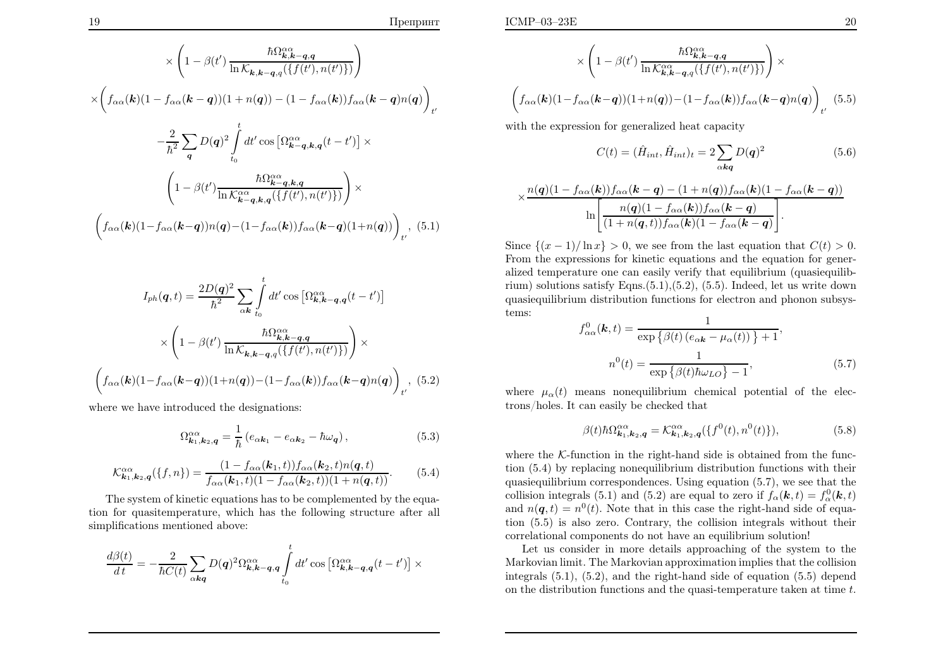$$
\times \left(1 - \beta(t') \frac{\hbar \Omega_{k,k-q,q}^{\alpha\alpha}}{\ln \mathcal{K}_{k,k-q,q}(\{f(t'),n(t')\})}\right)
$$

$$
\times \left(f_{\alpha\alpha}(\mathbf{k})(1 - f_{\alpha\alpha}(\mathbf{k} - \mathbf{q}))(1 + n(\mathbf{q})) - (1 - f_{\alpha\alpha}(\mathbf{k}))f_{\alpha\alpha}(\mathbf{k} - \mathbf{q})n(\mathbf{q})\right)_{t'}
$$

$$
- \frac{2}{\hbar^2} \sum_{\mathbf{q}} D(\mathbf{q})^2 \int_{t_0}^t dt' \cos\left[\Omega_{k-q,k,q}^{\alpha\alpha}(t - t')\right] \times
$$

$$
\left(1 - \beta(t') \frac{\hbar \Omega_{k-q,k,q}^{\alpha\alpha}}{\ln \mathcal{K}_{k-q,k,q}^{\alpha\alpha}(\{f(t'),n(t')\})}\right) \times
$$

$$
\left(f_{\alpha\alpha}(\mathbf{k})(1 - f_{\alpha\alpha}(\mathbf{k} - \mathbf{q}))n(\mathbf{q}) - (1 - f_{\alpha\alpha}(\mathbf{k}))f_{\alpha\alpha}(\mathbf{k} - \mathbf{q})(1 + n(\mathbf{q}))\right)_{t'}, \quad (5.1)
$$

$$
I_{ph}(q,t) = \frac{2D(q)^2}{\hbar^2} \sum_{\alpha k} \int_{t_0}^t dt' \cos\left[\Omega_{k,k-q,q}^{\alpha\alpha}(t-t')\right]
$$

$$
\times \left(1 - \beta(t') \frac{\hbar \Omega_{k,k-q,q}^{\alpha\alpha}}{\ln \mathcal{K}_{k,k-q,q}(\{f(t'),n(t')\})}\right) \times
$$

$$
\left(f_{\alpha\alpha}(k)(1 - f_{\alpha\alpha}(k-q))(1 + n(q)) - (1 - f_{\alpha\alpha}(k))f_{\alpha\alpha}(k-q)n(q)\right)_{t'}, \quad (5.2)
$$

where we have introduced the designations:

$$
\Omega_{\boldsymbol{k}_{1},\boldsymbol{k}_{2},\boldsymbol{q}}^{\alpha\alpha}=\frac{1}{\hbar}\left(e_{\alpha\boldsymbol{k}_{1}}-e_{\alpha\boldsymbol{k}_{2}}-\hbar\omega_{\boldsymbol{q}}\right),\tag{5.3}
$$

$$
\mathcal{K}_{\mathbf{k}_1,\mathbf{k}_2,\mathbf{q}}^{\alpha\alpha}(\{f,n\}) = \frac{(1 - f_{\alpha\alpha}(\mathbf{k}_1,t))f_{\alpha\alpha}(\mathbf{k}_2,t)n(\mathbf{q},t)}{f_{\alpha\alpha}(\mathbf{k}_1,t)(1 - f_{\alpha\alpha}(\mathbf{k}_2,t))(1 + n(\mathbf{q},t))}.
$$
(5.4)

 The system of kinetic equations has to be complemented by the equation for quasitemperature, which has the following structure after allsimplifications mentioned above:

$$
\frac{d\beta(t)}{dt} = -\frac{2}{\hbar C(t)} \sum_{\alpha k \mathbf{q}} D(\mathbf{q})^2 \Omega_{\mathbf{k},\mathbf{k}-\mathbf{q},\mathbf{q}}^{\alpha \alpha} \int_{t_0}^t dt' \cos \left[ \Omega_{\mathbf{k},\mathbf{k}-\mathbf{q},\mathbf{q}}^{\alpha \alpha} (t-t') \right] \times
$$

$$
\times \left(1 - \beta(t') \frac{\hbar \Omega_{\mathbf{k},\mathbf{k}-\mathbf{q},\mathbf{q}}^{\alpha\alpha}}{\ln \mathcal{K}_{\mathbf{k},\mathbf{k}-\mathbf{q},q}^{\alpha\alpha}(\{f(t'),n(t')\})}\right) \times \left(f_{\alpha\alpha}(\mathbf{k})(1 - f_{\alpha\alpha}(\mathbf{k}-\mathbf{q}))(1 + n(\mathbf{q})) - (1 - f_{\alpha\alpha}(\mathbf{k}))f_{\alpha\alpha}(\mathbf{k}-\mathbf{q})n(\mathbf{q})\right)_{t'} \tag{5.5}
$$

with the expression for generalized heat capacity

$$
C(t) = (\hat{H}_{int}, \hat{H}_{int})_t = 2 \sum_{\alpha kq} D(q)^2
$$
\n(5.6)

$$
\times \frac{n(\boldsymbol{q})(1-f_{\alpha \alpha}(\boldsymbol{k}))f_{\alpha \alpha}(\boldsymbol{k}-\boldsymbol{q})-(1+n(\boldsymbol{q}))f_{\alpha \alpha}(\boldsymbol{k})(1-f_{\alpha \alpha}(\boldsymbol{k}-\boldsymbol{q}))}{\ln \left[\frac{n(\boldsymbol{q})(1-f_{\alpha \alpha}(\boldsymbol{k}))f_{\alpha \alpha}(\boldsymbol{k}-\boldsymbol{q})}{(1+n(\boldsymbol{q},t))f_{\alpha \alpha}(\boldsymbol{k})(1-f_{\alpha \alpha}(\boldsymbol{k}-\boldsymbol{q})}\right]}.
$$

Since  $\{(x-1)/\ln x\} > 0$ , we see from the last equation that  $C(t) > 0$ . From the expressions for kinetic equations and the equation for generalized temperature one can easily verify that equilibrium (quasiequilibrium) solutions satisfy Eqns.(5.1),(5.2), (5.5). Indeed, let us write down quasiequilibrium distribution functions for electron and <sup>p</sup>honon subsystems:

$$
f_{\alpha\alpha}^{0}(\mathbf{k},t) = \frac{1}{\exp\{\beta(t) \left(e_{\alpha\mathbf{k}} - \mu_{\alpha}(t)\right)\} + 1},
$$

$$
n^{0}(t) = \frac{1}{\exp\{\beta(t)\hbar\omega_{LO}\} - 1},
$$
(5.7)

where  $\mu_\alpha(t)$  means nonequilibrium chemical potential of the electrons/holes. It can easily be checked that

$$
\beta(t)\hbar\Omega_{\mathbf{k}_1,\mathbf{k}_2,\mathbf{q}}^{\alpha\alpha} = \mathcal{K}_{\mathbf{k}_1,\mathbf{k}_2,\mathbf{q}}^{\alpha\alpha}(\{f^0(t),n^0(t)\}),\tag{5.8}
$$

where the  $K$ -function in the right-hand side is obtained from the func tion (5.4) by replacing nonequilibrium distribution functions with their quasiequilibrium correspondences. Using equation (5.7), we see that thecollision integrals (5.1) and (5.2) are equal to zero if  $f_{\alpha}(\mathbf{k}, t) = f_{\alpha}^{0}(\mathbf{k}, t)$ and  $n(\mathbf{q}, t) = n^0(t)$ . Note that in this case the right-hand side of equa- tion (5.5) is also zero. Contrary, the collision integrals without theircorrelational components do not have an equilibrium solution!

 Let us consider in more details approaching of the system to the Markovian limit. The Markovian approximation implies that the collision integrals (5.1), (5.2), and the right-hand side of equation (5.5) depend on the distribution functions and the quasi-temperature taken at time  $t$ .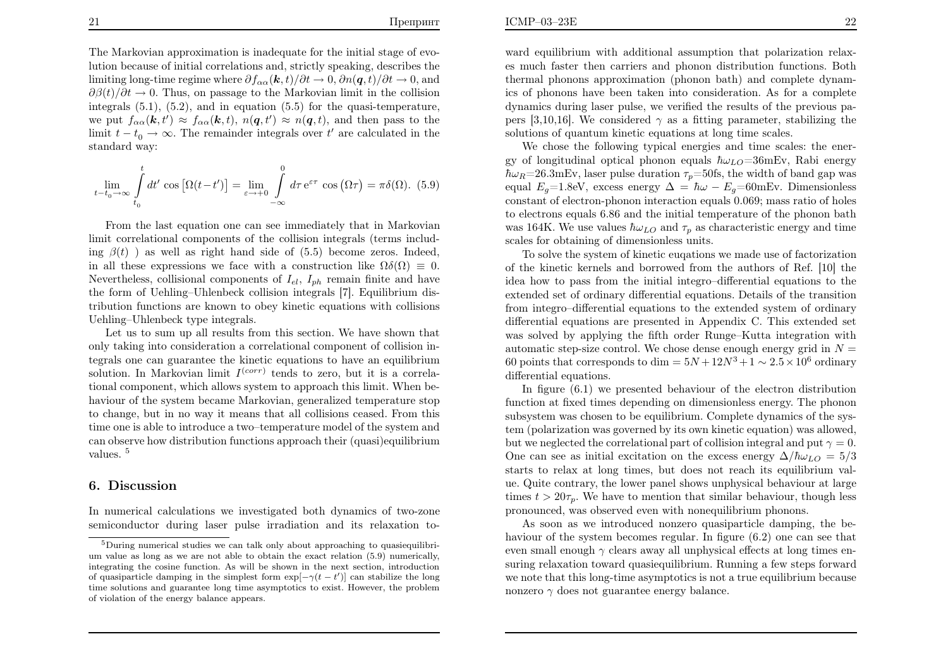The Markovian approximation is inadequate for the initial stage of evolution because of initial correlations and, strictly speaking, describes thelimiting long-time regime where  $\partial f_{\alpha\alpha}(\mathbf{k},t)/\partial t \to 0$ ,  $\partial n(\mathbf{q},t)/\partial t \to 0$ , and  $\partial \beta(t)/\partial t \to 0$ . Thus on passage to the Markovian limit in the collision  $\partial \beta(t)/\partial t \to 0$ . Thus, on passage to the Markovian limit in the collision integrals (5.1) (5.2) and in equation (5.5) for the quasi-temperature integrals (5.1), (5.2), and in equation (5.5) for the quasi-temperature,we put  $f_{\alpha\alpha}(\mathbf{k}, t') \approx f_{\alpha\alpha}(\mathbf{k}, t)$ ,  $n(\mathbf{q}, t') \approx n(\mathbf{q}, t)$ , and then pass to the limit  $t - t_0 \to \infty$ . The remainder integrals over t' are calculated in the standard way:

$$
\lim_{t-t_0 \to \infty} \int_{t_0}^t dt' \cos\left[\Omega(t-t')\right] = \lim_{\varepsilon \to +0} \int_{-\infty}^0 d\tau \, \mathrm{e}^{\varepsilon \tau} \cos\left(\Omega \tau\right) = \pi \delta(\Omega). \tag{5.9}
$$

From the last equation one can see immediately that in Markovian limit correlational components of the collision integrals (terms including  $\beta(t)$ ) as well as right hand side of (5.5) become zeros. Indeed, in all these expressions we face with a construction like  $\Omega\delta(\Omega) \equiv 0$ . Nevertheless, collisional components of  $I_{el}$ ,  $I_{ph}$  remain finite and have the form of Uehling–Uhlenbeck collision integrals [7]. Equilibrium distribution functions are known to obey kinetic equations with collisionsUehling–Uhlenbeck type integrals.

Let us to sum up all results from this section. We have shown that only taking into consideration <sup>a</sup> correlational component of collision integrals one can guarantee the kinetic equations to have an equilibriumsolution. In Markovian limit  $I<sup>(corr)</sup>$  tends to zero, but it is a correla- tional component, which allows system to approach this limit. When behaviour of the system became Markovian, generalized temperature stop to change, but in no way it means that all collisions ceased. From this time one is able to introduce <sup>a</sup> two–temperature model of the system and can observe how distribution functions approac<sup>h</sup> their (quasi)equilibriumvalues. <sup>5</sup>

#### 6. Discussion

In numerical calculations we investigated both dynamics of two-zonesemiconductor during laser pulse irradiation and its relaxation toward equilibrium with additional assumption that polarization relaxes much faster then carriers and phonon distribution functions. Both thermal <sup>p</sup>honons approximation (phonon bath) and complete dynamics of <sup>p</sup>honons have been taken into consideration. As for <sup>a</sup> complete dynamics during laser pulse, we verified the results of the previous papers [3,10,16]. We considered  $\gamma$  as a fitting parameter, stabilizing the solutions of quantum kinetic equations at long time scales.

 We chose the following typical energies and time scales: the energy of longitudinal optical phonon equals  $\hbar\omega_{LO}$ =36mEv, Rabi energy  $\hbar\omega_R{=}26.3\text{mEv}$ , laser pulse duration  $\tau_p{=}50\text{fs},$  the width of band gap was equal  $E_g=1.8$ eV, excess energy  $\Delta = \hbar \omega - E_g=60$ mEv. Dimensionless constant of electron-phonon interaction equals 0.069; mass ratio of holes to electrons equals 6.86 and the initial temperature of the phonon bathwas 164K. We use values  $\hbar \omega_{LO}$  and  $\tau_p$  as characteristic energy and time scales for obtaining of dimensionless units.

To solve the system of kinetic euqations we made use of factorization of the kinetic kernels and borrowed from the authors of Ref. [10] the idea how to pass from the initial integro–differential equations to the extended set of ordinary differential equations. Details of the transitionfrom integro–differential equations to the extended system of ordinary<br>differential equations are presented in Appendix G. This autorded set differential equations are presented in Appendix C. This extended set was solved by applying the fifth order Runge–Kutta integration withautomatic step-size control. We chose dense enough energy grid in  $N=$ 60 points that corresponds to dim  $= 5N + 12N^3 + 1 \sim 2.5 \times 10^6$  ordinary differential equations.

 In figure (6.1) we presented behaviour of the electron distribution function at fixed times depending on dimensionless energy. The <sup>p</sup>honon subsystem was chosen to be equilibrium. Complete dynamics of the system (polarization was governed by its own kinetic equation) was allowed, but we neglected the correlational part of collision integral and put  $\gamma = 0$ . One can see as initial excitation on the excess energy  $\Delta/\hbar\omega_{LO} = 5/3$  starts to relax at long times, but does not reach its equilibrium value. Quite contrary, the lower panel shows unphysical behaviour at largetimes  $t > 20\tau_p$ . We have to mention that similar behaviour, though less pronounced, was observed even with nonequilibrium phonons.

As soon as we introduced nonzero quasiparticle damping, the behaviour of the system becomes regular. In figure (6.2) one can see that even small enough  $\gamma$  clears away all unphysical effects at long times en suring relaxation toward quasiequilibrium. Running <sup>a</sup> few steps forward we note that this long-time asymptotics is not <sup>a</sup> true equilibrium becausenonzero  $\gamma$  does not guarantee energy balance.

<sup>&</sup>lt;sup>5</sup>During numerical studies we can talk only about approaching to quasiequilibrium value as long as we are not able to obtain the exact relation (5.9) numerically, integrating the cosine function. As will be shown in the next section, introductionof quasiparticle damping in the simplest form  $\exp[-\gamma(t-t')]$  can stabilize the long<br>time solutions and guarantee long time commutation to oriet. However, the problem time solutions and guarantee long time asymptotics to exist. However, the problemof violation of the energy balance appears.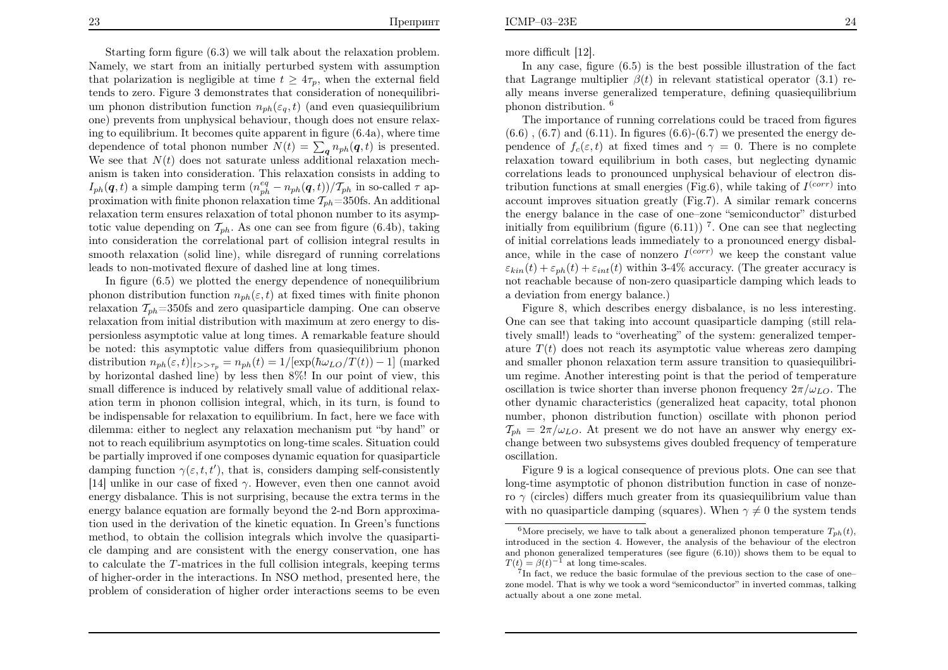$\mathbf{E}$  and  $\mathbf{E}$  and  $\mathbf{E}$  and  $\mathbf{E}$  and  $\mathbf{E}$  and  $\mathbf{E}$  and  $\mathbf{E}$  and  $\mathbf{E}$  and  $\mathbf{E}$  and  $\mathbf{E}$  and  $\mathbf{E}$  and  $\mathbf{E}$  and  $\mathbf{E}$  and  $\mathbf{E}$  and  $\mathbf{E}$  and  $\mathbf{E}$  and  $\mathbf{E}$  and

Starting form figure (6.3) we will talk about the relaxation problem. Namely, we start from an initially perturbed system with assumptionthat polarization is negligible at time  $t \geq 4\tau_p$ , when the external field tends to zero. Figure 3 demonstrates that consideration of nonequilibrium phonon distribution function  $n_{ph}(\varepsilon_q, t)$  (and even quasiequilibrium one) prevents from unphysical behaviour, though does not ensure relaxing to equilibrium. It becomes quite apparent in figure (6.4a), where timedependence of total phonon number  $N(t) = \sum_{q} n_{ph}(q, t)$  is presented. We see that  $N(t)$  does not saturate unless additional relaxation mech anism is taken into consideration. This relaxation consists in adding to $I_{ph}(q, t)$  a simple damping term  $\left(n_p^{eq} - n_{ph}(q, t)\right) / T_{ph}$  in so-called  $\tau$  approximation with finite phonon polarition time  $\tau$  and  $\tau$  and different proximation with finite phonon relaxation time  $\mathcal{T}_{ph}=350$ fs. An additional relaxation term ensures relaxation of total <sup>p</sup>honon number to its asymptotic value depending on  $\mathcal{T}_{ph}$ . As one can see from figure (6.4b), taking into consideration the correlational part of collision integral results in smooth relaxation (solid line), while disregard of running correlations leads to non-motivated flexure of dashed line at long times.

In figure (6.5) we <sup>p</sup>lotted the energy dependence of nonequilibriumphonon distribution function  $n_{ph}(\varepsilon, t)$  at fixed times with finite phonon relaxation  $\mathcal{T}_{ph}$ =350fs and zero quasiparticle damping. One can observe relaxation from initial distribution with maximum at zero energy to dispersionless asymptotic value at long times. A remarkable feature should be noted: this asymptotic value differs from quasiequilibrium <sup>p</sup>honondistribution  $n_{ph}(\varepsilon, t)|_{t>>\tau_p} = n_{ph}(t) = 1/[\exp(\hbar\omega_{LO}/T(t)) - 1]$  (marked by horizontal dashed line) by less then 8%! In our point of view, this small difference is induced by relatively small value of additional relaxation term in phonon collision integral, which, in its turn, is found to be indispensable for relaxation to equilibrium. In fact, here we face with dilemma: either to neglect any relaxation mechanism put "by hand" or not to reach equilibrium asymptotics on long-time scales. Situation could be partially improved if one composes dynamic equation for quasiparticledamping function  $\gamma(\varepsilon, t, t')$ , that is, considers damping self-consistently [14] unlike in our case of fixed  $\gamma$ . However, even then one cannot avoid energy disbalance. This is not surprising, because the extra terms in the energy balance equation are formally beyond the 2-nd Born approximation used in the derivation of the kinetic equation. In Green's functions method, to obtain the collision integrals which involve the quasiparticle damping and are consistent with the energy conservation, one hasto calculate the  $T$ -matrices in the full collision integrals, keeping terms of higher-order in the interactions. In NSO method, presented here, theproblem of consideration of higher order interactions seems to be even

more difficult [12].

 In any case, figure (6.5) is the best possible illustration of the factthat Lagrange multiplier  $\beta(t)$  in relevant statistical operator (3.1) re ally means inverse generalized temperature, defining quasiequilibriumphonon distribution.<sup>6</sup>

The importance of running correlations could be traced from figures<br>(3)  $(6.7)$  and  $(6.11)$ . In figures  $(6.6)$   $(6.7)$  we presented the energy de- $(6.6)$ ,  $(6.7)$  and  $(6.11)$ . In figures  $(6.6)-(6.7)$  we presented the energy dependence of  $f_c(\varepsilon, t)$  at fixed times and  $\gamma = 0$ . There is no complete relaxation toward equilibrium in both cases, but neglecting dynamic correlations leads to pronounced unphysical behaviour of electron distribution functions at small energies (Fig.6), while taking of  $I<sup>(corr)</sup>$  into account improves situation greatly (Fig.7). A similar remark concerns the energy balance in the case of one–zone "semiconductor" disturbedinitially from equilibrium (figure  $(6.11)$ )<sup>7</sup>. One can see that neglecting of initial correlations leads immediately to <sup>a</sup> pronounced energy disbalance, while in the case of nonzero  $I<sup>(corr)</sup>$  we keep the constant value  $\varepsilon_{kin}(t) + \varepsilon_{ph}(t) + \varepsilon_{int}(t)$  within 3-4% accuracy. (The greater accuracy is not reachable because of non-zero quasiparticle damping which leads to<sup>a</sup> deviation from energy balance.)

 Figure 8, which describes energy disbalance, is no less interesting.One can see that taking into account quasiparticle damping (still relatively small!) leads to "overheating" of the system: generalized temperature  $T(t)$  does not reach its asymptotic value whereas zero damping and smaller phonon relaxation term assure transition to quasiequilibrium regime. Another interesting point is that the period of temperatureoscillation is twice shorter than inverse phonon frequency  $2\pi/\omega_{LO}$ . The other dynamic characteristics (generalized heat capacity, total <sup>p</sup>honon number, <sup>p</sup>honon distribution function) oscillate with <sup>p</sup>honon period $\mathcal{T}_{ph} = 2\pi/\omega_{LO}$ . At present we do not have an answer why energy exchange between two subsystems gives doubled frequency of temperatureoscillation.

 Figure 9 is <sup>a</sup> logical consequence of previous <sup>p</sup>lots. One can see that long-time asymptotic of <sup>p</sup>honon distribution function in case of nonzero  $\gamma$  (circles) differs much greater from its quasiequilibrium value than with no quasiparticle damping (squares). When  $\gamma \neq 0$  the system tends

 $^6$ More precisely, we have to talk about a generalized phonon temperature  $T_{ph}(t)$ , introduced in the section 4. However, the analysis of the behaviour of the electron and <sup>p</sup>honon generalized temperatures (see figure (6.10)) shows them to be equa<sup>l</sup> to $T(t) = \beta(t)^{-1}$  at long time-scales.

 $^{7}$ In fact, we reduce the basic formulae of the previous section to the case of one– zone model. That is why we took <sup>a</sup> word "semiconductor" in inverted commas, talkingactually about <sup>a</sup> one zone metal.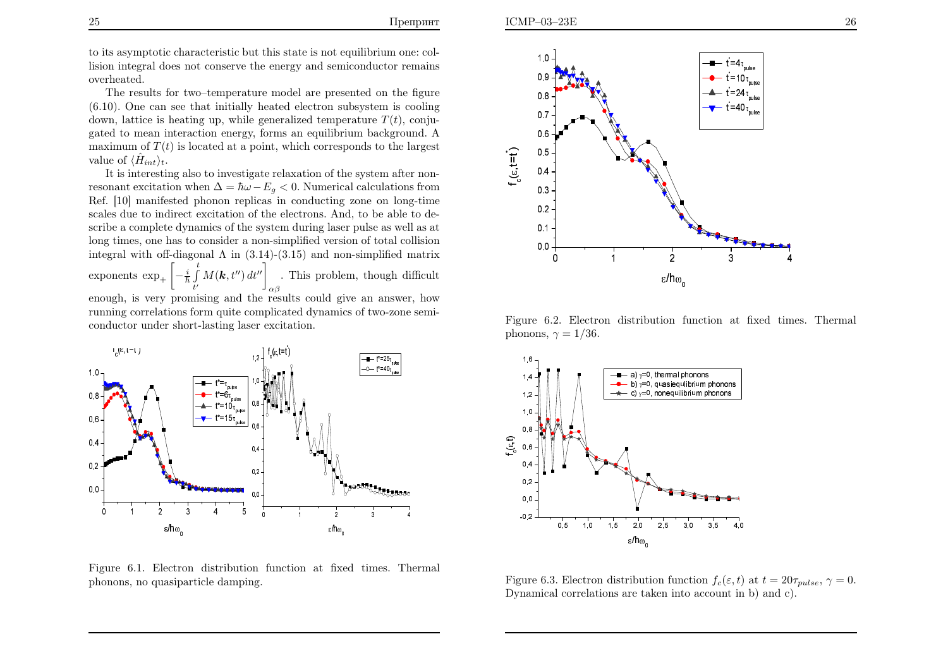$ICMP-03-23E$ 

to its asymptotic characteristic but this state is not equilibrium one: collision integral does not conserve the energy and semiconductor remains overheated.

The results for two-temperature model are presented on the figure  $(6.10)$ . One can see that initially heated electron subsystem is cooling down, lattice is heating up, while generalized temperature  $T(t)$ , conjugated to mean interaction energy, forms an equilibrium background. A maximum of  $T(t)$  is located at a point, which corresponds to the largest value of  $\langle \hat{H}_{int} \rangle_t$ .

It is interesting also to investigate relaxation of the system after nonresonant excitation when  $\Delta = \hbar \omega - E_a < 0$ . Numerical calculations from Ref. [10] manifested phonon replicas in conducting zone on long-time scales due to indirect excitation of the electrons. And, to be able to describe a complete dynamics of the system during laser pulse as well as at long times, one has to consider a non-simplified version of total collision integral with off-diagonal  $\Lambda$  in (3.14)-(3.15) and non-simplified matrix exponents  $\exp_+\left[-\frac{i}{\hbar}\int\limits_{t'}^t M(\mathbf{k},t'') dt''\right]$ . This problem, though difficult enough, is very promising and the results could give an answer, how

running correlations form quite complicated dynamics of two-zone semiconductor under short-lasting laser excitation.



Figure 6.1. Electron distribution function at fixed times. Thermal phonons, no quasiparticle damping.



Figure 6.2. Electron distribution function at fixed times. Thermal phonons,  $\gamma = 1/36$ .



Figure 6.3. Electron distribution function  $f_c(\varepsilon, t)$  at  $t = 20\tau_{pulse}, \gamma = 0$ . Dynamical correlations are taken into account in b) and c).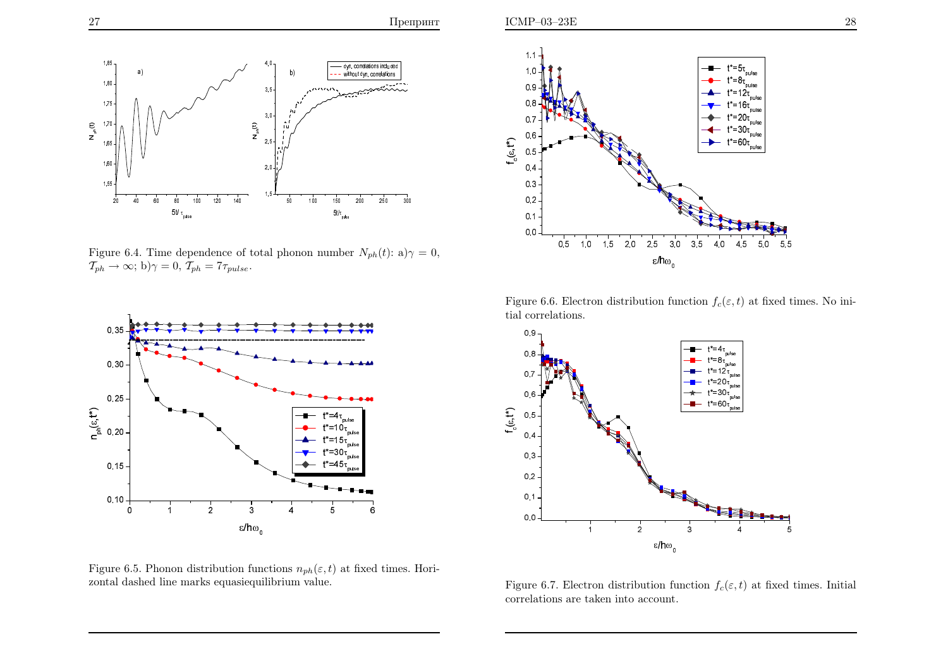Препринт



it/t<sub>pulse</sub><br>abe Figure 6.4. Time dependence of total phonon number  $N_{ph}(t)$ : a) $\gamma = 0$ ,  $\mathcal{T}_{ph} \rightarrow \infty$ ; b) $\gamma = 0$ ,  $\mathcal{T}_{ph} = 7\tau_{pulse}$ .



Figure 6.5. Phonon distribution functions  $n_{ph}(\varepsilon, t)$  at fixed times. Horizontal dashed line marks equasiequilibrium value.



Figure 6.6. Electron distribution function  $f_c(\varepsilon, t)$  at fixed times. No initial correlations.



Figure 6.7. Electron distribution function  $f_c(\varepsilon, t)$  at fixed times. Initial correlations are taken into account.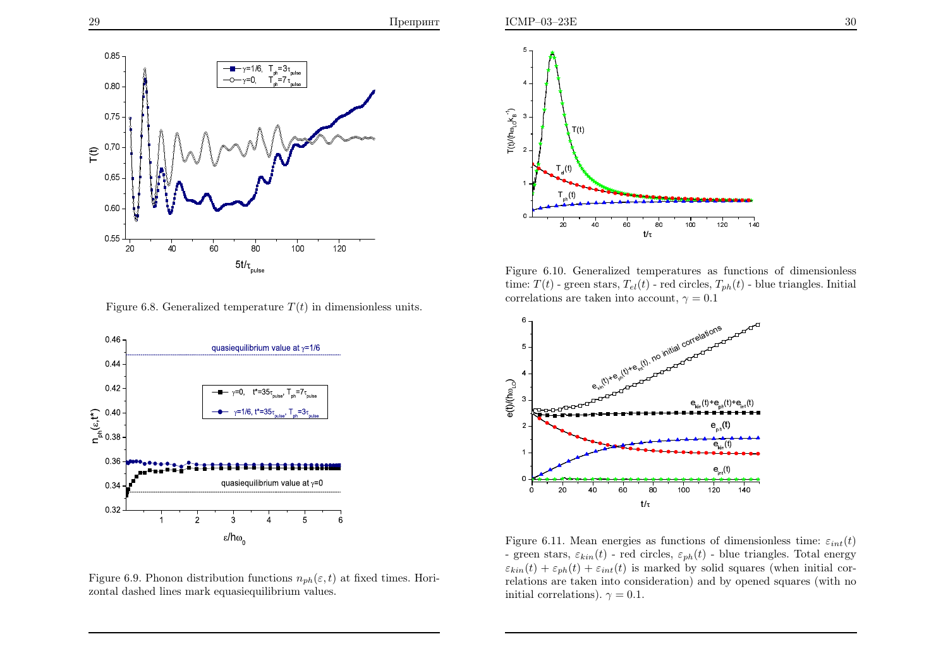

Figure 6.8. Generalized temperature  $T(t)$  in dimensionless units.



Figure 6.9. Phonon distribution functions  $n_{ph}(\varepsilon, t)$  at fixed times. Horizontal dashed lines mark equasiequilibrium values.



Figure 6.10. Generalized temperatures as functions of dimensionlesstime:  $T(t)$  - green stars,  $T_{el}(t)$  - red circles,  $T_{ph}(t)$  - blue triangles. Initial correlations are taken into account,  $\gamma = 0.1$ 



Figure 6.11. Mean energies as functions of dimensionless time:  $\varepsilon_{int}(t)$ - green stars,  $\varepsilon_{kin}(t)$  - red circles,  $\varepsilon_{ph}(t)$  - blue triangles. Total energy  $\varepsilon_{kin}(t) + \varepsilon_{ph}(t) + \varepsilon_{int}(t)$  is marked by solid squares (when initial correlations are taken into consideration) and by opened squares (with noinitial correlations).  $\gamma = 0.1$ .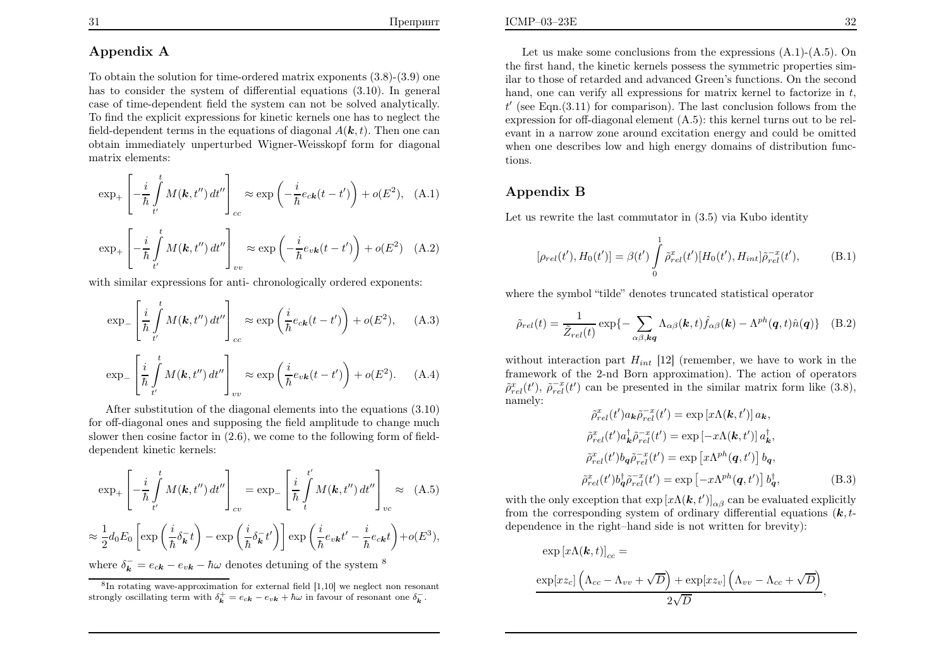# Appendix A

To obtain the solution for time-ordered matrix exponents (3.8)-(3.9) one has to consider the system of differential equations (3.10). In general case of time-dependent field the system can not be solved analytically.To find the explicit expressions for kinetic kernels one has to neglect thefield-dependent terms in the equations of diagonal  $A(\boldsymbol{k}, t)$ . Then one can obtain immediately unperturbed Wigner-Weisskopf form for diagonal matrix elements:

$$
\exp_{+}\left[-\frac{i}{\hbar}\int_{t'}^{t}M(\mathbf{k},t'')dt''\right]_{cc} \approx \exp\left(-\frac{i}{\hbar}e_{c\mathbf{k}}(t-t')\right) + o(E^{2}), \quad \text{(A.1)}
$$

$$
\exp_{+}\left[-\frac{i}{\hbar}\int_{t'}^{t}M(\mathbf{k},t'')dt''\right]_{vv} \approx \exp\left(-\frac{i}{\hbar}e_{v\mathbf{k}}(t-t')\right) + o(E^{2}) \quad \text{(A.2)}
$$

with similar expressions for anti- chronologically ordered exponents:

$$
\exp_{-}\left[\frac{i}{\hbar}\int_{t'}^{t} M(\mathbf{k},t'') dt''\right]_{cc} \approx \exp\left(\frac{i}{\hbar}e_{c\mathbf{k}}(t-t')\right) + o(E^2), \quad (A.3)
$$

$$
\exp_{-}\left[\frac{i}{\hbar}\int_{t'}^{t} M(\mathbf{k},t'') dt''\right]_{vv} \approx \exp\left(\frac{i}{\hbar}e_{v\mathbf{k}}(t-t')\right) + o(E^2). \quad (A.4)
$$

After substitution of the diagonal elements into the equations (3.10) for off-diagonal ones and supposing the field amplitude to change much slower then cosine factor in (2.6), we come to the following form of fielddependent kinetic kernels:

$$
\exp_{+}\left[-\frac{i}{\hbar}\int_{t'}^{t}M(\mathbf{k},t'') dt''\right]_{cv} = \exp_{-}\left[\frac{i}{\hbar}\int_{t}^{t'}M(\mathbf{k},t'') dt''\right]_{vc} \approx (A.5)
$$

$$
\approx \frac{1}{2}d_0E_0\left[\exp\left(\frac{i}{\hbar}\delta_{\mathbf{k}}t\right) - \exp\left(\frac{i}{\hbar}\delta_{\mathbf{k}}t'\right)\right]\exp\left(\frac{i}{\hbar}e_{v\mathbf{k}}t' - \frac{i}{\hbar}e_{c\mathbf{k}}t\right) + o(E^3),
$$
where  $\delta_{\mathbf{k}} = e_{c\mathbf{k}} - e_{v\mathbf{k}} - \hbar\omega$  denotes detuning of the system<sup>8</sup>

Let us make some conclusions from the expressions  $(A.1)-(A.5)$ . On the first hand, the kinetic kernels possess the symmetric properties similar to those of retarded and advanced Green's functions. On the second hand, one can verify all expressions for matrix kernel to factorize in  $t$ ,  $t'$  (see Eqn.(3.11) for comparison). The last conclusion follows from the expression for off-diagonal element (A.5): this kernel turns out to be relevant in <sup>a</sup> narrow zone around excitation energy and could be omitted when one describes low and high energy domains of distribution functions.

### Appendix B

Let us rewrite the last commutator in (3.5) via Kubo identity

$$
[\rho_{rel}(t'), H_0(t')] = \beta(t') \int_0^1 \tilde{\rho}_{rel}^x(t') [H_0(t'), H_{int}] \tilde{\rho}_{rel}^{-x}(t'), \tag{B.1}
$$

where the symbol "tilde" denotes truncated statistical operator

$$
\tilde{\rho}_{rel}(t) = \frac{1}{\tilde{Z}_{rel}(t)} \exp\{-\sum_{\alpha\beta,\mathbf{kq}} \Lambda_{\alpha\beta}(\mathbf{k},t) \hat{f}_{\alpha\beta}(\mathbf{k}) - \Lambda^{ph}(\mathbf{q},t) \hat{n}(\mathbf{q})\} \quad (B.2)
$$

without interaction part  $H_{int}$  [12] (remember, we have to work in the framework of the 2-nd Born approximation). The action of operators $\tilde{\rho}^x_{rel}(t')$ ,  $\tilde{\rho}^{-x}_{rel}(t')$  can be presented in the similar matrix form like (3.8), namely:

$$
\tilde{\rho}_{rel}^{x}(t')a_{\boldsymbol{k}}\tilde{\rho}_{rel}^{-x}(t') = \exp\left[x\Lambda(\boldsymbol{k},t')\right]a_{\boldsymbol{k}},
$$
\n
$$
\tilde{\rho}_{rel}^{x}(t')a_{\boldsymbol{k}}^{\dagger}\tilde{\rho}_{rel}^{-x}(t') = \exp\left[-x\Lambda(\boldsymbol{k},t')\right]a_{\boldsymbol{k}}^{\dagger},
$$
\n
$$
\tilde{\rho}_{rel}^{x}(t')b_{\boldsymbol{q}}\tilde{\rho}_{rel}^{-x}(t') = \exp\left[x\Lambda^{ph}(\boldsymbol{q},t')\right]b_{\boldsymbol{q}},
$$
\n
$$
\tilde{\rho}_{rel}^{x}(t')b_{\boldsymbol{q}}^{\dagger}\tilde{\rho}_{rel}^{-x}(t') = \exp\left[-x\Lambda^{ph}(\boldsymbol{q},t')\right]b_{\boldsymbol{q}}^{\dagger},
$$
\n(B.3)

with the only exception that  $\exp\left[x\Lambda(\mathbf{k}, t')\right]_{\alpha\beta}$  can be evaluated explicitly from the corresponding system of ordinary differential equations  $(k, t-)$ dependence in the right–hand side is not written for brevity):

$$
\exp\left[x\Lambda(\boldsymbol{k},t)\right]_{cc} =
$$
  
\n
$$
\exp\left[xz_c\right]\left(\Lambda_{cc} - \Lambda_{vv} + \sqrt{D}\right) + \exp\left[xz_v\right]\left(\Lambda_{vv} - \Lambda_{cc} + \sqrt{D}\right)
$$
  
\n
$$
2\sqrt{D},
$$

<sup>8</sup>In rotating wave-approximation for external field [1,10] we neglect non resonant strongly oscillating term with  $\delta_{\mathbf{k}}^{+} = e_{c\mathbf{k}} - e_{v\mathbf{k}} + \hbar \omega$  in favour of resonant one  $\delta_{\mathbf{k}}^{-}$ .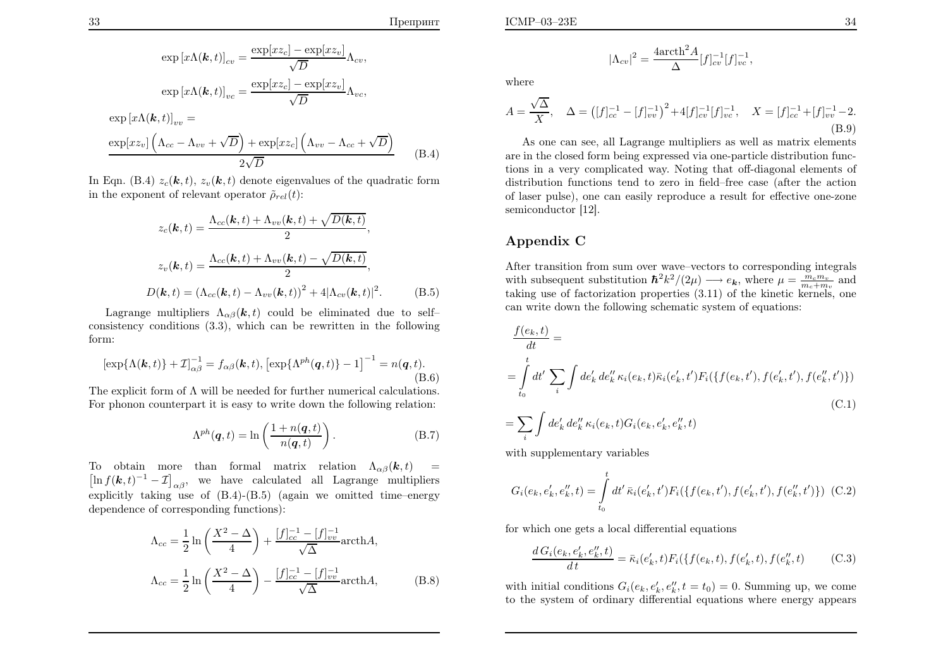$$
\exp\left[x\Lambda(\boldsymbol{k},t)\right]_{cv} = \frac{\exp[xz_c] - \exp[xz_v]}{\sqrt{D}} \Lambda_{cv},
$$

$$
\exp\left[x\Lambda(\boldsymbol{k},t)\right]_{vc} = \frac{\exp[xz_c] - \exp[xz_v]}{\sqrt{D}} \Lambda_{vc},
$$

$$
\exp\left[x\Lambda(\boldsymbol{k},t)\right]_{vv} =
$$

$$
\exp[xz_v] \left(\Lambda_{cc} - \Lambda_{vv} + \sqrt{D}\right) + \exp[xz_c] \left(\Lambda_{vv} - \Lambda_{cc} + \sqrt{D}\right)
$$

$$
\frac{\exp[xz_v]\left(\Lambda_{cc}-\Lambda_{vv}+\sqrt{D}\right)+\exp[xz_c]\left(\Lambda_{vv}-\Lambda_{cc}+\sqrt{D}\right)}{2\sqrt{D}}\tag{B.4}
$$

In Eqn. (B.4)  $z_c(\mathbf{k}, t)$ ,  $z_v(\mathbf{k}, t)$  denote eigenvalues of the quadratic form in the exponent of relevant operator  $\tilde{\rho}_{rel}(t)$ :

$$
z_c(\mathbf{k},t) = \frac{\Lambda_{cc}(\mathbf{k},t) + \Lambda_{vv}(\mathbf{k},t) + \sqrt{D(\mathbf{k},t)}}{2},
$$
  
\n
$$
z_v(\mathbf{k},t) = \frac{\Lambda_{cc}(\mathbf{k},t) + \Lambda_{vv}(\mathbf{k},t) - \sqrt{D(\mathbf{k},t)}}{2},
$$
  
\n
$$
D(\mathbf{k},t) = (\Lambda_{cc}(\mathbf{k},t) - \Lambda_{vv}(\mathbf{k},t))^2 + 4|\Lambda_{cv}(\mathbf{k},t)|^2.
$$
 (B.5)

Lagrange multipliers  $\Lambda_{\alpha\beta}(\mathbf{k}, t)$  could be eliminated due to self– consistency conditions (3.3), which can be rewritten in the followingform:

$$
[\exp{\{\Lambda(\boldsymbol{k},t)\}}+\mathcal{I}]_{\alpha\beta}^{-1}=f_{\alpha\beta}(\boldsymbol{k},t),[\exp{\{\Lambda^{ph}(\boldsymbol{q},t)\}}-1]^{-1}=n(\boldsymbol{q},t).
$$
\n(B.6)

The explicit form of  $\Lambda$  will be needed for further numerical calculations. For <sup>p</sup>honon counterpart it is easy to write down the following relation:

$$
\Lambda^{ph}(\mathbf{q},t) = \ln\left(\frac{1+n(\mathbf{q},t)}{n(\mathbf{q},t)}\right). \tag{B.7}
$$

To obtain more than formal matrix relation  $\Lambda_{\alpha\beta}(\mathbf{k}, t)$  =  $\left[\ln f(\boldsymbol{k}, t)^{-1} - \mathcal{I}\right]_{\alpha\beta}$ , we have calculated all Lagrange multipliers explicitly taking use of (B.4)-(B.5) (again we omitted time–energydependence of corresponding functions):

$$
\Lambda_{cc} = \frac{1}{2} \ln \left( \frac{X^2 - \Delta}{4} \right) + \frac{[f]_{cc}^{-1} - [f]_{vv}^{-1}}{\sqrt{\Delta}} \text{arcth} A,
$$
  

$$
\Lambda_{cc} = \frac{1}{2} \ln \left( \frac{X^2 - \Delta}{4} \right) - \frac{[f]_{cc}^{-1} - [f]_{vv}^{-1}}{\sqrt{\Delta}} \text{arcth} A,
$$
(B.8)

$$
|\Lambda_{cv}|^2=\frac{4\text{arcth}^2A}{\Delta}[f]_{cv}^{-1}[f]_{vc}^{-1}
$$

,

where

$$
A = \frac{\sqrt{\Delta}}{X}, \quad \Delta = \left( [f]_{cc}^{-1} - [f]_{vv}^{-1} \right)^2 + 4[f]_{cv}^{-1} [f]_{vc}^{-1}, \quad X = [f]_{cc}^{-1} + [f]_{vv}^{-1} - 2.
$$
\n(B.9)

 As one can see, all Lagrange multipliers as well as matrix elements are in the closed form being expressed via one-particle distribution functions in <sup>a</sup> very complicated way. Noting that off-diagonal elements of distribution functions tend to zero in field–free case (after the action of laser pulse), one can easily reproduce <sup>a</sup> result for effective one-zonesemiconductor [12].

### Appendix C

After transition from sum over wave–vectors to corresponding integralswith subsequent substitution  $\hbar^2 k^2/(2\mu) \longrightarrow e_k$ , where  $\mu = \frac{m_c m_v}{m_c + m_v}$  and taking use of factorization properties (3.11) of the kinetic kernals one taking use of factorization properties (3.11) of the kinetic kernels, onecan write down the following schematic system of equations:

$$
\frac{f(e_k, t)}{dt} = \frac{t}{\int_{t_0}^t dt'} \sum_i \int de'_k de''_k \kappa_i(e_k, t) \bar{\kappa}_i(e'_k, t') F_i(\{f(e_k, t'), f(e'_k, t'), f(e''_k, t')\})
$$
\n
$$
= \sum_i \int de'_k de''_k \kappa_i(e_k, t) G_i(e_k, e'_k, e''_k, t)
$$
\n(C.1)

with supplementary variables

$$
G_i(e_k, e'_k, e''_k, t) = \int_{t_0}^t dt' \,\bar{\kappa}_i(e'_k, t') F_i(\{f(e_k, t'), f(e'_k, t'), f(e''_k, t')\}) \tag{C.2}
$$

for which one gets <sup>a</sup> local differential equations

$$
\frac{d G_i(e_k, e'_k, e''_k, t)}{dt} = \bar{\kappa}_i(e'_k, t) F_i(\{f(e_k, t), f(e'_k, t), f(e''_k, t) \} (C.3))
$$

with initial conditions  $G_i(e_k, e'_k, e''_k, t=t_0) = 0$ . Summing up, we come to the system of ordinary differential equations where energy appears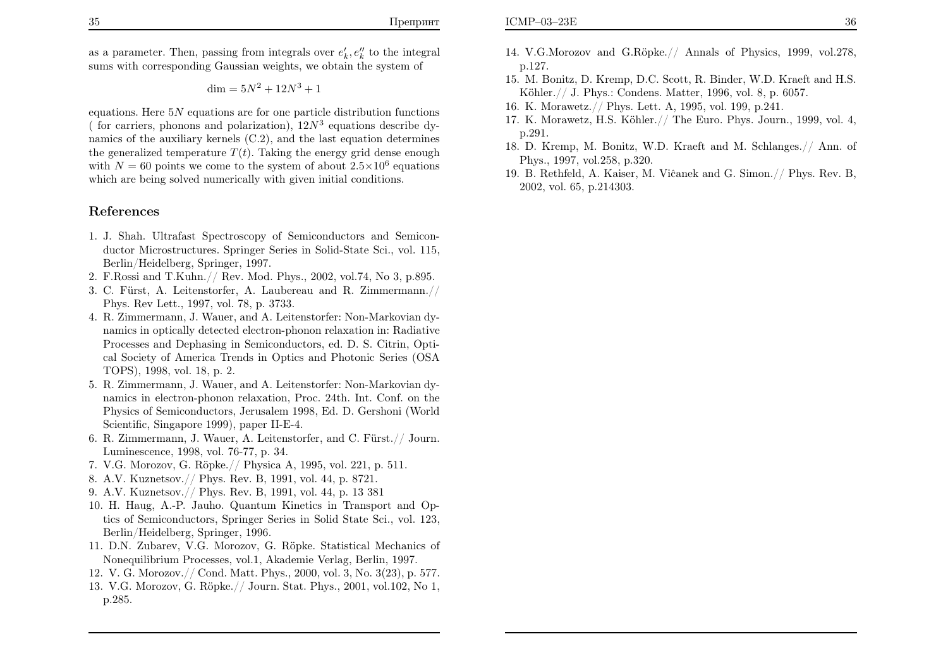as a parameter. Then, passing from integrals over  $e'_k, e''_k$  to the integral sums with corresponding Gaussian weights, we obtain the system of

$$
\dim = 5N^2 + 12N^3 + 1
$$

equations. Here  $5N$  equations are for one particle distribution functions  $(f_{\text{max}})$  absorptions are particle distributions of the state of the state of the state of the state of the state of the state of the state of th ( for carriers, phonons and polarization),  $12N^3$  equations describe dynamics of the auxiliary kernels  $(C.2)$ , and the last equation determines the generalized temperature  $T(t)$ . Taking the energy grid dense enough with  $N = 60$  points we come to the system of about  $2.5 \times 10^6$  equations which are being solved numerically with given initial conditions.

## References

- 1. J. Shah. Ultrafast Spectroscopy of Semiconductors and Semiconductor Microstructures. Springer Series in Solid-State Sci., vol. 115,Berlin/Heidelberg, Springer, 1997.
- 2. F.Rossi and T.Kuhn.// Rev. Mod. Phys., 2002, vol.74, No 3, p.895.
- 3. C. Fürst, A. Leitenstorfer, A. Laubereau and R. Zimmermann.// Phys. Rev Lett., 1997, vol. 78, p. 3733.
- 4. R. Zimmermann, J. Wauer, and A. Leitenstorfer: Non-Markovian dynamics in optically detected electron-phonon relaxation in: Radiative Processes and Dephasing in Semiconductors, ed. D. S. Citrin, Optical Society of America Trends in Optics and Photonic Series (OSATOPS), 1998, vol. 18, p. 2.
- 5. R. Zimmermann, J. Wauer, and A. Leitenstorfer: Non-Markovian dynamics in electron-phonon relaxation, Proc. 24th. Int. Conf. on the Physics of Semiconductors, Jerusalem 1998, Ed. D. Gershoni (WorldScientific, Singapore 1999), paper II-E-4.
- 6. R. Zimmermann, J. Wauer, A. Leitenstorfer, and C. Fürst.  $//$  Journ. Luminescence, 1998, vol. 76-77, p. 34.
- 7. V.G. Morozov, G. Röpke.// Physica A, 1995, vol. 221, p. 511.
- 8. A.V. Kuznetsov.// Phys. Rev. B, 1991, vol. 44, p. 8721.
- 9. A.V. Kuznetsov.// Phys. Rev. B, 1991, vol. 44, p. <sup>13</sup> <sup>381</sup>
- 10. H. Haug, A.-P. Jauho. Quantum Kinetics in Transport and Optics of Semiconductors, Springer Series in Solid State Sci., vol. 123,Berlin/Heidelberg, Springer, 1996.
- 11. D.N. Zubarev, V.G. Morozov, G. Röpke. Statistical Mechanics of Nonequilibrium Processes, vol.1, Akademie Verlag, Berlin, 1997.
- 12. V. G. Morozov.// Cond. Matt. Phys., 2000, vol. 3, No. 3(23), p. 577.
- 13. V.G. Morozov, G. Röpke.// Journ. Stat. Phys., 2001, vol.102, No 1, p.285.
- 14. V.G.Morozov and G.R¨opke.// Annals of Physics, 1999, vol.278,p.127.
- 15. M. Bonitz, D. Kremp, D.C. Scott, R. Binder, W.D. Kraeft and H.S.Köhler.// J. Phys.: Condens. Matter, 1996, vol. 8, p. 6057.
- 16. K. Morawetz.// Phys. Lett. A, 1995, vol. 199, p.241.
- 17. K. Morawetz, H.S. Köhler.// The Euro. Phys. Journ., 1999, vol. 4, p.291.
- 18. D. Kremp, M. Bonitz, W.D. Kraeft and M. Schlanges.// Ann. ofPhys., 1997, vol.258, p.320.
- 19. B. Rethfeld, A. Kaiser, M. Viĉanek and G. Simon.// Phys. Rev. B, 2002, vol. 65, p.214303.